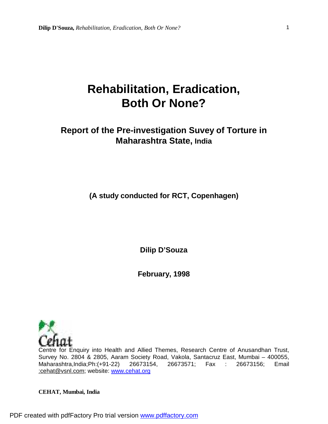# **Rehabilitation, Eradication, Both Or None?**

# **Report of the Pre-investigation Suvey of Torture in Maharashtra State, India**

**(A study conducted for RCT, Copenhagen)** 

**Dilip D'Souza** 

**February, 1998** 



Centre for Enquiry into Health and Allied Themes, Research Centre of Anusandhan Trust, Survey No. 2804 & 2805, Aaram Society Road, Vakola, Santacruz East, Mumbai – 400055, Maharashtra,India;Ph:(+91-22) 26673154, 26673571; Fax : 26673156; Email [:cehat@vsnl.com](mailto::cehat@vsnl.com); website: [www.cehat.org](http://www.cehat.org)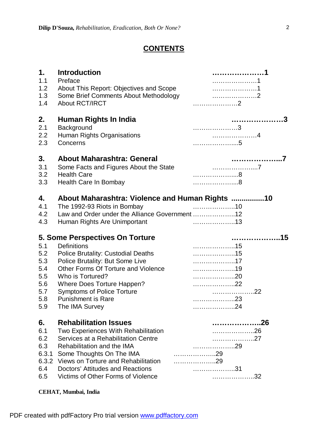# **CONTENTS**

| 1.<br>1.1<br>1.2<br>1.3<br>1.4                              | <b>Introduction</b><br>Preface<br>About This Report: Objectives and Scope<br>Some Brief Comments About Methodology<br><b>About RCT/IRCT</b>                                                                                                                                                                        |                          |
|-------------------------------------------------------------|--------------------------------------------------------------------------------------------------------------------------------------------------------------------------------------------------------------------------------------------------------------------------------------------------------------------|--------------------------|
| 2.<br>2.1<br>2.2<br>2.3                                     | Human Rights In India<br>Background<br>Human Rights Organisations<br>Concerns                                                                                                                                                                                                                                      |                          |
| 3.<br>3.1<br>3.2<br>3.3                                     | <b>About Maharashtra: General</b><br>Some Facts and Figures About the State<br><b>Health Care</b><br>Health Care In Bombay                                                                                                                                                                                         |                          |
| 4.<br>4.1<br>4.2<br>4.3                                     | About Maharashtra: Violence and Human Rights 10<br>The 1992-93 Riots in Bombay<br>Law and Order under the Alliance Government 12<br>Human Rights Are Unimportant                                                                                                                                                   |                          |
|                                                             |                                                                                                                                                                                                                                                                                                                    |                          |
|                                                             |                                                                                                                                                                                                                                                                                                                    |                          |
| 5.1<br>5.2<br>5.3<br>5.4<br>5.5<br>5.6<br>5.7<br>5.8<br>5.9 | 5. Some Perspectives On Torture<br><b>Definitions</b><br><b>Police Brutality: Custodial Deaths</b><br>Police Brutality: But Some Live<br>Other Forms Of Torture and Violence<br>Who is Tortured?<br>Where Does Torture Happen?<br><b>Symptoms of Police Torture</b><br><b>Punishment is Rare</b><br>The IMA Survey | 17<br>22<br>. 22<br>. 24 |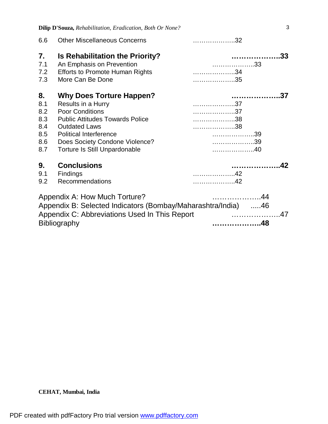**Dilip D'Souza,** *Rehabilitation, Eradication, Both Or None?*

| 6.6 | <b>Other Miscellaneous Concerns</b>                                                                                                                                    |    |
|-----|------------------------------------------------------------------------------------------------------------------------------------------------------------------------|----|
| 7.  | <b>Is Rehabilitation the Priority?</b>                                                                                                                                 |    |
| 7.1 | An Emphasis on Prevention                                                                                                                                              | 33 |
| 7.2 | <b>Efforts to Promote Human Rights</b>                                                                                                                                 |    |
| 7.3 | More Can Be Done                                                                                                                                                       | 35 |
| 8.  | <b>Why Does Torture Happen?</b>                                                                                                                                        | 37 |
| 8.1 | Results in a Hurry                                                                                                                                                     | 37 |
| 8.2 | <b>Poor Conditions</b>                                                                                                                                                 | 37 |
| 8.3 | <b>Public Attitudes Towards Police</b>                                                                                                                                 | 38 |
| 8.4 | <b>Outdated Laws</b>                                                                                                                                                   |    |
| 8.5 | <b>Political Interference</b>                                                                                                                                          |    |
| 8.6 | Does Society Condone Violence?                                                                                                                                         | 39 |
| 8.7 | <b>Torture Is Still Unpardonable</b>                                                                                                                                   |    |
| 9.  | <b>Conclusions</b>                                                                                                                                                     |    |
| 9.1 | <b>Findings</b>                                                                                                                                                        | 42 |
| 9.2 | <b>Recommendations</b>                                                                                                                                                 |    |
|     | Appendix A: How Much Torture?<br>Appendix B: Selected Indicators (Bombay/Maharashtra/India) 46<br>Appendix C: Abbreviations Used In This Report<br><b>Bibliography</b> |    |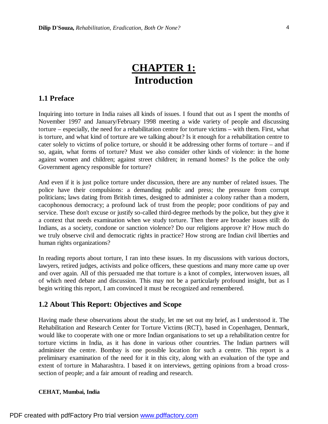# **CHAPTER 1: Introduction**

## **1.1 Preface**

Inquiring into torture in India raises all kinds of issues. I found that out as I spent the months of November 1997 and January/February 1998 meeting a wide variety of people and discussing torture – especially, the need for a rehabilitation centre for torture victims – with them. First, what is torture, and what kind of torture are we talking about? Is it enough for a rehabilitation centre to cater solely to victims of police torture, or should it be addressing other forms of torture – and if so, again, what forms of torture? Must we also consider other kinds of violence: in the home against women and children; against street children; in remand homes? Is the police the only Government agency responsible for torture?

And even if it is just police torture under discussion, there are any number of related issues. The police have their compulsions: a demanding public and press; the pressure from corrupt politicians; laws dating from British times, designed to administer a colony rather than a modern, cacophonous democracy; a profound lack of trust from the people; poor conditions of pay and service. These don't excuse or justify so-called third-degree methods by the police, but they give it a context that needs examination when we study torture. Then there are broader issues still: do Indians, as a society, condone or sanction violence? Do our religions approve it? How much do we truly observe civil and democratic rights in practice? How strong are Indian civil liberties and human rights organizations?

In reading reports about torture, I ran into these issues. In my discussions with various doctors, lawyers, retired judges, activists and police officers, these questions and many more came up over and over again. All of this persuaded me that torture is a knot of complex, interwoven issues, all of which need debate and discussion. This may not be a particularly profound insight, but as I begin writing this report, I am convinced it must be recognized and remembered.

## **1.2 About This Report: Objectives and Scope**

Having made these observations about the study, let me set out my brief, as I understood it. The Rehabilitation and Research Center for Torture Victims (RCT), based in Copenhagen, Denmark, would like to cooperate with one or more Indian organisations to set up a rehabilitation centre for torture victims in India, as it has done in various other countries. The Indian partners will administer the centre. Bombay is one possible location for such a centre. This report is a preliminary examination of the need for it in this city, along with an evaluation of the type and extent of torture in Maharashtra. I based it on interviews, getting opinions from a broad crosssection of people; and a fair amount of reading and research.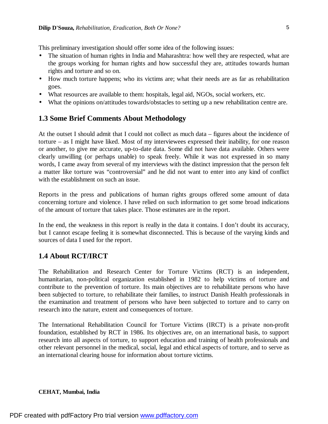This preliminary investigation should offer some idea of the following issues:

- The situation of human rights in India and Maharashtra: how well they are respected, what are the groups working for human rights and how successful they are, attitudes towards human rights and torture and so on.
- How much torture happens; who its victims are; what their needs are as far as rehabilitation goes.
- What resources are available to them: hospitals, legal aid, NGOs, social workers, etc.
- What the opinions on/attitudes towards/obstacles to setting up a new rehabilitation centre are.

## **1.3 Some Brief Comments About Methodology**

At the outset I should admit that I could not collect as much data – figures about the incidence of torture – as I might have liked. Most of my interviewees expressed their inability, for one reason or another, to give me accurate, up-to-date data. Some did not have data available. Others were clearly unwilling (or perhaps unable) to speak freely. While it was not expressed in so many words, I came away from several of my interviews with the distinct impression that the person felt a matter like torture was "controversial" and he did not want to enter into any kind of conflict with the establishment on such an issue.

Reports in the press and publications of human rights groups offered some amount of data concerning torture and violence. I have relied on such information to get some broad indications of the amount of torture that takes place. Those estimates are in the report.

In the end, the weakness in this report is really in the data it contains. I don't doubt its accuracy, but I cannot escape feeling it is somewhat disconnected. This is because of the varying kinds and sources of data I used for the report.

# **1.4 About RCT/IRCT**

The Rehabilitation and Research Center for Torture Victims (RCT) is an independent, humanitarian, non-political organization established in 1982 to help victims of torture and contribute to the prevention of torture. Its main objectives are to rehabilitate persons who have been subjected to torture, to rehabilitate their families, to instruct Danish Health professionals in the examination and treatment of persons who have been subjected to torture and to carry on research into the nature, extent and consequences of torture.

The International Rehabilitation Council for Torture Victims (IRCT) is a private non-profit foundation, established by RCT in 1986. Its objectives are, on an international basis, to support research into all aspects of torture, to support education and training of health professionals and other relevant personnel in the medical, social, legal and ethical aspects of torture, and to serve as an international clearing house for information about torture victims.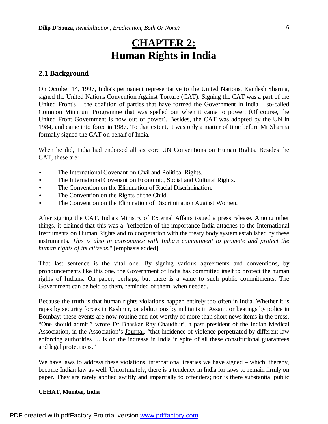# **CHAPTER 2: Human Rights in India**

## **2.1 Background**

On October 14, 1997, India's permanent representative to the United Nations, Kamlesh Sharma, signed the United Nations Convention Against Torture (CAT). Signing the CAT was a part of the United Front's – the coalition of parties that have formed the Government in India – so-called Common Minimum Programme that was spelled out when it came to power. (Of course, the United Front Government is now out of power). Besides, the CAT was adopted by the UN in 1984, and came into force in 1987. To that extent, it was only a matter of time before Mr Sharma formally signed the CAT on behalf of India.

When he did, India had endorsed all six core UN Conventions on Human Rights. Besides the CAT, these are:

- The International Covenant on Civil and Political Rights.
- The International Covenant on Economic, Social and Cultural Rights.
- The Convention on the Elimination of Racial Discrimination.
- The Convention on the Rights of the Child.
- The Convention on the Elimination of Discrimination Against Women.

After signing the CAT, India's Ministry of External Affairs issued a press release. Among other things, it claimed that this was a "reflection of the importance India attaches to the International Instruments on Human Rights and to cooperation with the treaty body system established by these instruments. *This is also in consonance with India's commitment to promote and protect the human rights of its citizens.*" [emphasis added].

That last sentence is the vital one. By signing various agreements and conventions, by pronouncements like this one, the Government of India has committed itself to protect the human rights of Indians. On paper, perhaps, but there is a value to such public commitments. The Government can be held to them, reminded of them, when needed.

Because the truth is that human rights violations happen entirely too often in India. Whether it is rapes by security forces in Kashmir, or abductions by militants in Assam, or beatings by police in Bombay: these events are now routine and not worthy of more than short news items in the press. "One should admit," wrote Dr Bhaskar Ray Chaudhuri, a past president of the Indian Medical Association, in the Association's Journal, "that incidence of violence perpetrated by different law enforcing authorities … is on the increase in India in spite of all these constitutional guarantees and legal protections."

We have laws to address these violations, international treaties we have signed – which, thereby, become Indian law as well. Unfortunately, there is a tendency in India for laws to remain firmly on paper. They are rarely applied swiftly and impartially to offenders; nor is there substantial public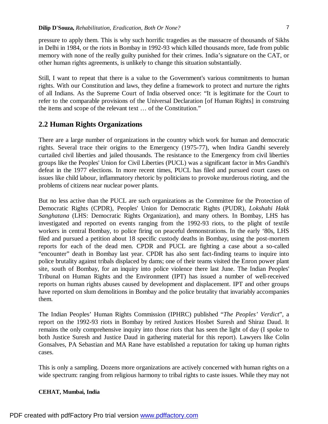pressure to apply them. This is why such horrific tragedies as the massacre of thousands of Sikhs in Delhi in 1984, or the riots in Bombay in 1992-93 which killed thousands more, fade from public memory with none of the really guilty punished for their crimes. India's signature on the CAT, or other human rights agreements, is unlikely to change this situation substantially.

Still, I want to repeat that there is a value to the Government's various commitments to human rights. With our Constitution and laws, they define a framework to protect and nurture the rights of all Indians. As the Supreme Court of India observed once: "It is legitimate for the Court to refer to the comparable provisions of the Universal Declaration [of Human Rights] in construing the items and scope of the relevant text … of the Constitution."

## **2.2 Human Rights Organizations**

There are a large number of organizations in the country which work for human and democratic rights. Several trace their origins to the Emergency (1975-77), when Indira Gandhi severely curtailed civil liberties and jailed thousands. The resistance to the Emergency from civil liberties groups like the Peoples' Union for Civil Liberties (PUCL) was a significant factor in Mrs Gandhi's defeat in the 1977 elections. In more recent times, PUCL has filed and pursued court cases on issues like child labour, inflammatory rhetoric by politicians to provoke murderous rioting, and the problems of citizens near nuclear power plants.

But no less active than the PUCL are such organizations as the Committee for the Protection of Democratic Rights (CPDR), Peoples' Union for Democratic Rights (PUDR), *Lokshahi Hakk Sanghatana* (LHS: Democratic Rights Organization), and many others. In Bombay, LHS has investigated and reported on events ranging from the 1992-93 riots, to the plight of textile workers in central Bombay, to police firing on peaceful demonstrations. In the early '80s, LHS filed and pursued a petition about 18 specific custody deaths in Bombay, using the post-mortem reports for each of the dead men. CPDR and PUCL are fighting a case about a so-called "encounter" death in Bombay last year. CPDR has also sent fact-finding teams to inquire into police brutality against tribals displaced by dams; one of their teams visited the Enron power plant site, south of Bombay, for an inquiry into police violence there last June. The Indian Peoples' Tribunal on Human Rights and the Environment (IPT) has issued a number of well-received reports on human rights abuses caused by development and displacement. IPT and other groups have reported on slum demolitions in Bombay and the police brutality that invariably accompanies them.

The Indian Peoples' Human Rights Commission (IPHRC) published "*The Peoples' Verdict*", a report on the 1992-93 riots in Bombay by retired Justices Hosbet Suresh and Shiraz Daud. It remains the only comprehensive inquiry into those riots that has seen the light of day (I spoke to both Justice Suresh and Justice Daud in gathering material for this report). Lawyers like Colin Gonsalves, PA Sebastian and MA Rane have established a reputation for taking up human rights cases.

This is only a sampling. Dozens more organizations are actively concerned with human rights on a wide spectrum: ranging from religious harmony to tribal rights to caste issues. While they may not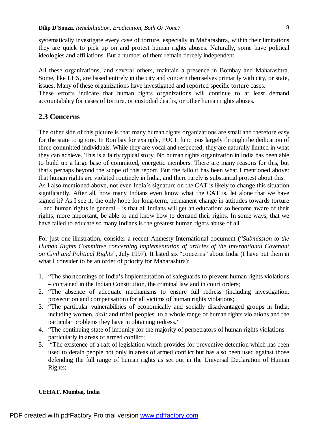systematically investigate every case of torture, especially in Maharashtra, within their limitations they are quick to pick up on and protest human rights abuses. Naturally, some have political ideologies and affiliations. But a number of them remain fiercely independent.

All these organizations, and several others, maintain a presence in Bombay and Maharashtra. Some, like LHS, are based entirely in the city and concern themselves primarily with city, or state, issues. Many of these organizations have investigated and reported specific torture cases.

These efforts indicate that human rights organizations will continue to at least demand accountability for cases of torture, or custodial deaths, or other human rights abuses.

### **2.3 Concerns**

The other side of this picture is that many human rights organizations are small and therefore easy for the state to ignore. In Bombay for example, PUCL functions largely through the dedication of three committed individuals. While they are vocal and respected, they are naturally limited in what they can achieve. This is a fairly typical story. No human rights organization in India has been able to build up a large base of committed, energetic members. There are many reasons for this, but that's perhaps beyond the scope of this report. But the fallout has been what I mentioned above: that human rights are violated routinely in India, and there rarely is substantial protest about this. As I also mentioned above, not even India's signature on the CAT is likely to change this situation significantly. After all, how many Indians even know what the CAT is, let alone that we have signed it? As I see it, the only hope for long-term, permanent change in attitudes towards torture – and human rights in general – is that all Indians will get an education; so become aware of their rights; more important, be able to and know how to demand their rights. In some ways, that we have failed to educate so many Indians is the greatest human rights abuse of all.

For just one illustration, consider a recent Amnesty International document ("*Submission to the Human Rights Committee concerning implementation of articles of the International Covenant on Civil and Political Rights*", July 1997). It listed six "concerns" about India (I have put them in what I consider to be an order of priority for Maharashtra):

- 1. "The shortcomings of India's implementation of safeguards to prevent human rights violations – contained in the Indian Constitution, the criminal law and in court orders;
- 2. "The absence of adequate mechanisms to ensure full redress (including investigation, prosecution and compensation) for all victims of human rights violations;
- 3. "The particular vulnerabilities of economically and socially disadvantaged groups in India, including women, *dalit* and tribal peoples, to a whole range of human rights violations and the particular problems they have in obtaining redress."
- 4. "The continuing state of impunity for the majority of perpetrators of human rights violations particularly in areas of armed conflict;
- 5. "The existence of a raft of legislation which provides for preventive detention which has been used to detain people not only in areas of armed conflict but has also been used against those defending the full range of human rights as set out in the Universal Declaration of Human Rights;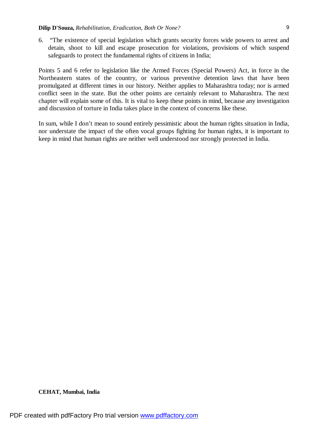6. "The existence of special legislation which grants security forces wide powers to arrest and detain, shoot to kill and escape prosecution for violations, provisions of which suspend safeguards to protect the fundamental rights of citizens in India;

Points 5 and 6 refer to legislation like the Armed Forces (Special Powers) Act, in force in the Northeastern states of the country, or various preventive detention laws that have been promulgated at different times in our history. Neither applies to Maharashtra today; nor is armed conflict seen in the state. But the other points are certainly relevant to Maharashtra. The next chapter will explain some of this. It is vital to keep these points in mind, because any investigation and discussion of torture in India takes place in the context of concerns like these.

In sum, while I don't mean to sound entirely pessimistic about the human rights situation in India, nor understate the impact of the often vocal groups fighting for human rights, it is important to keep in mind that human rights are neither well understood nor strongly protected in India.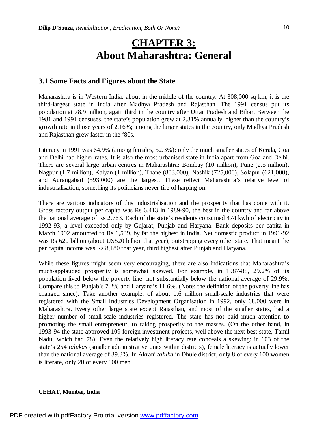# **CHAPTER 3: About Maharashtra: General**

## **3.1 Some Facts and Figures about the State**

Maharashtra is in Western India, about in the middle of the country. At 308,000 sq km, it is the third-largest state in India after Madhya Pradesh and Rajasthan. The 1991 census put its population at 78.9 million, again third in the country after Uttar Pradesh and Bihar. Between the 1981 and 1991 censuses, the state's population grew at 2.31% annually, higher than the country's growth rate in those years of 2.16%; among the larger states in the country, only Madhya Pradesh and Rajasthan grew faster in the '80s.

Literacy in 1991 was 64.9% (among females, 52.3%): only the much smaller states of Kerala, Goa and Delhi had higher rates. It is also the most urbanised state in India apart from Goa and Delhi. There are several large urban centres in Maharashtra: Bombay (10 million), Pune (2.5 million), Nagpur (1.7 million), Kalyan (1 million), Thane (803,000), Nashik (725,000), Solapur (621,000), and Aurangabad (593,000) are the largest. These reflect Maharashtra's relative level of industrialisation, something its politicians never tire of harping on.

There are various indicators of this industrialisation and the prosperity that has come with it. Gross factory output per capita was Rs 6,413 in 1989-90, the best in the country and far above the national average of Rs 2,763. Each of the state's residents consumed 474 kwh of electricity in 1992-93, a level exceeded only by Gujarat, Punjab and Haryana. Bank deposits per capita in March 1992 amounted to Rs 6,539, by far the highest in India. Net domestic product in 1991-92 was Rs 620 billion (about US\$20 billion that year), outstripping every other state. That meant the per capita income was Rs 8,180 that year, third highest after Punjab and Haryana.

While these figures might seem very encouraging, there are also indications that Maharashtra's much-applauded prosperity is somewhat skewed. For example, in 1987-88, 29.2% of its population lived below the poverty line: not substantially below the national average of 29.9%. Compare this to Punjab's 7.2% and Haryana's 11.6%. (Note: the definition of the poverty line has changed since). Take another example: of about 1.6 million small-scale industries that were registered with the Small Industries Development Organisation in 1992, only 68,000 were in Maharashtra. Every other large state except Rajasthan, and most of the smaller states, had a higher number of small-scale industries registered. The state has not paid much attention to promoting the small entrepreneur, to taking prosperity to the masses. (On the other hand, in 1993-94 the state approved 109 foreign investment projects, well above the next best state, Tamil Nadu, which had 78). Even the relatively high literacy rate conceals a skewing: in 103 of the state's 254 *talukas* (smaller administrative units within districts), female literacy is actually lower than the national average of 39.3%. In Akrani *taluka* in Dhule district, only 8 of every 100 women is literate, only 20 of every 100 men.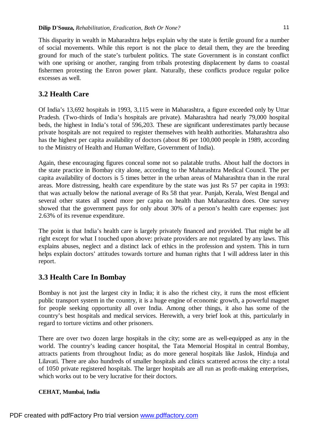This disparity in wealth in Maharashtra helps explain why the state is fertile ground for a number of social movements. While this report is not the place to detail them, they are the breeding ground for much of the state's turbulent politics. The state Government is in constant conflict with one uprising or another, ranging from tribals protesting displacement by dams to coastal fishermen protesting the Enron power plant. Naturally, these conflicts produce regular police excesses as well.

# **3.2 Health Care**

Of India's 13,692 hospitals in 1993, 3,115 were in Maharashtra, a figure exceeded only by Uttar Pradesh. (Two-thirds of India's hospitals are private). Maharashtra had nearly 79,000 hospital beds, the highest in India's total of 596,203. These are significant underestimates partly because private hospitals are not required to register themselves with health authorities. Maharashtra also has the highest per capita availability of doctors (about 86 per 100,000 people in 1989, according to the Ministry of Health and Human Welfare, Government of India).

Again, these encouraging figures conceal some not so palatable truths. About half the doctors in the state practice in Bombay city alone, according to the Maharashtra Medical Council. The per capita availability of doctors is 5 times better in the urban areas of Maharashtra than in the rural areas. More distressing, health care expenditure by the state was just Rs 57 per capita in 1993: that was actually below the national average of Rs 58 that year. Punjab, Kerala, West Bengal and several other states all spend more per capita on health than Maharashtra does. One survey showed that the government pays for only about 30% of a person's health care expenses: just 2.63% of its revenue expenditure.

The point is that India's health care is largely privately financed and provided. That might be all right except for what I touched upon above: private providers are not regulated by any laws. This explains abuses, neglect and a distinct lack of ethics in the profession and system. This in turn helps explain doctors' attitudes towards torture and human rights that I will address later in this report.

# **3.3 Health Care In Bombay**

Bombay is not just the largest city in India; it is also the richest city, it runs the most efficient public transport system in the country, it is a huge engine of economic growth, a powerful magnet for people seeking opportunity all over India. Among other things, it also has some of the country's best hospitals and medical services. Herewith, a very brief look at this, particularly in regard to torture victims and other prisoners.

There are over two dozen large hospitals in the city; some are as well-equipped as any in the world. The country's leading cancer hospital, the Tata Memorial Hospital in central Bombay, attracts patients from throughout India; as do more general hospitals like Jaslok, Hinduja and Lilavati. There are also hundreds of smaller hospitals and clinics scattered across the city: a total of 1050 private registered hospitals. The larger hospitals are all run as profit-making enterprises, which works out to be very lucrative for their doctors.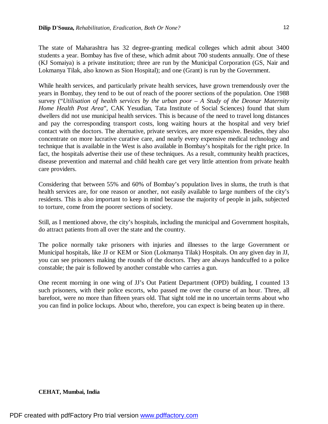12

The state of Maharashtra has 32 degree-granting medical colleges which admit about 3400 students a year. Bombay has five of these, which admit about 700 students annually. One of these (KJ Somaiya) is a private institution; three are run by the Municipal Corporation (GS, Nair and Lokmanya Tilak, also known as Sion Hospital); and one (Grant) is run by the Government.

While health services, and particularly private health services, have grown tremendously over the years in Bombay, they tend to be out of reach of the poorer sections of the population. One 1988 survey ("*Utilisation of health services by the urban poor – A Study of the Deonar Maternity Home Health Post Area*", CAK Yesudian, Tata Institute of Social Sciences) found that slum dwellers did not use municipal health services. This is because of the need to travel long distances and pay the corresponding transport costs, long waiting hours at the hospital and very brief contact with the doctors. The alternative, private services, are more expensive. Besides, they also concentrate on more lucrative curative care, and nearly every expensive medical technology and technique that is available in the West is also available in Bombay's hospitals for the right price. In fact, the hospitals advertise their use of these techniques. As a result, community health practices, disease prevention and maternal and child health care get very little attention from private health care providers.

Considering that between 55% and 60% of Bombay's population lives in slums, the truth is that health services are, for one reason or another, not easily available to large numbers of the city's residents. This is also important to keep in mind because the majority of people in jails, subjected to torture, come from the poorer sections of society.

Still, as I mentioned above, the city's hospitals, including the municipal and Government hospitals, do attract patients from all over the state and the country.

The police normally take prisoners with injuries and illnesses to the large Government or Municipal hospitals, like JJ or KEM or Sion (Lokmanya Tilak) Hospitals. On any given day in JJ, you can see prisoners making the rounds of the doctors. They are always handcuffed to a police constable; the pair is followed by another constable who carries a gun.

One recent morning in one wing of JJ's Out Patient Department (OPD) building, I counted 13 such prisoners, with their police escorts, who passed me over the course of an hour. Three, all barefoot, were no more than fifteen years old. That sight told me in no uncertain terms about who you can find in police lockups. About who, therefore, you can expect is being beaten up in there.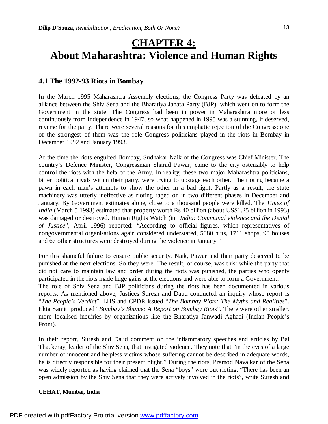# **CHAPTER 4: About Maharashtra: Violence and Human Rights**

## **4.1 The 1992-93 Riots in Bombay**

In the March 1995 Maharashtra Assembly elections, the Congress Party was defeated by an alliance between the Shiv Sena and the Bharatiya Janata Party (BJP), which went on to form the Government in the state. The Congress had been in power in Maharashtra more or less continuously from Independence in 1947, so what happened in 1995 was a stunning, if deserved, reverse for the party. There were several reasons for this emphatic rejection of the Congress; one of the strongest of them was the role Congress politicians played in the riots in Bombay in December 1992 and January 1993.

At the time the riots engulfed Bombay, Sudhakar Naik of the Congress was Chief Minister. The country's Defence Minister, Congressman Sharad Pawar, came to the city ostensibly to help control the riots with the help of the Army. In reality, these two major Maharashtra politicians, bitter political rivals within their party, were trying to upstage each other. The rioting became a pawn in each man's attempts to show the other in a bad light. Partly as a result, the state machinery was utterly ineffective as rioting raged on in two different phases in December and January. By Government estimates alone, close to a thousand people were killed. The *Times of India* (March 5 1993) estimated that property worth Rs 40 billion (about US\$1.25 billion in 1993) was damaged or destroyed. Human Rights Watch (in "*India: Communal violence and the Denial of Justice*", April 1996) reported: "According to official figures, which representatives of nongovernmental organisations again considered understated, 5080 huts, 1711 shops, 90 houses and 67 other structures were destroyed during the violence in January."

For this shameful failure to ensure public security, Naik, Pawar and their party deserved to be punished at the next elections. So they were. The result, of course, was this: while the party that did not care to maintain law and order during the riots was punished, the parties who openly participated in the riots made huge gains at the elections and were able to form a Government. The role of Shiv Sena and BJP politicians during the riots has been documented in various reports. As mentioned above, Justices Suresh and Daud conducted an inquiry whose report is "*The People's Verdict*". LHS and CPDR issued "*The Bombay Riots: The Myths and Realities*". Ekta Samiti produced "*Bombay's Shame: A Report on Bombay Riots*". There were other smaller, more localised inquiries by organizations like the Bharatiya Janwadi Aghadi (Indian People's

Front).

In their report, Suresh and Daud comment on the inflammatory speeches and articles by Bal Thackeray, leader of the Shiv Sena, that instigated violence. They note that "in the eyes of a large number of innocent and helpless victims whose suffering cannot be described in adequate words, he is directly responsible for their present plight." During the riots, Pramod Navalkar of the Sena was widely reported as having claimed that the Sena "boys" were out rioting. "There has been an open admission by the Shiv Sena that they were actively involved in the riots", write Suresh and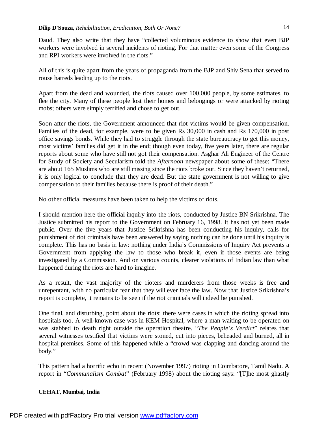Daud. They also write that they have "collected voluminous evidence to show that even BJP workers were involved in several incidents of rioting. For that matter even some of the Congress and RPI workers were involved in the riots."

All of this is quite apart from the years of propaganda from the BJP and Shiv Sena that served to rouse hatreds leading up to the riots.

Apart from the dead and wounded, the riots caused over 100,000 people, by some estimates, to flee the city. Many of these people lost their homes and belongings or were attacked by rioting mobs; others were simply terrified and chose to get out.

Soon after the riots, the Government announced that riot victims would be given compensation. Families of the dead, for example, were to be given Rs 30,000 in cash and Rs 170,000 in post office savings bonds. While they had to struggle through the state bureaucracy to get this money, most victims' families did get it in the end; though even today, five years later, there are regular reports about some who have still not got their compensation. Asghar Ali Engineer of the Centre for Study of Society and Secularism told the *Afternoon* newspaper about some of these: "There are about 165 Muslims who are still missing since the riots broke out. Since they haven't returned, it is only logical to conclude that they are dead. But the state government is not willing to give compensation to their families because there is proof of their death."

No other official measures have been taken to help the victims of riots.

I should mention here the official inquiry into the riots, conducted by Justice BN Srikrishna. The Justice submitted his report to the Government on February 16, 1998. It has not yet been made public. Over the five years that Justice Srikrishna has been conducting his inquiry, calls for punishment of riot criminals have been answered by saying nothing can be done until his inquiry is complete. This has no basis in law: nothing under India's Commissions of Inquiry Act prevents a Government from applying the law to those who break it, even if those events are being investigated by a Commission. And on various counts, clearer violations of Indian law than what happened during the riots are hard to imagine.

As a result, the vast majority of the rioters and murderers from those weeks is free and unrepentant, with no particular fear that they will ever face the law. Now that Justice Srikrishna's report is complete, it remains to be seen if the riot criminals will indeed be punished.

One final, and disturbing, point about the riots: there were cases in which the rioting spread into hospitals too. A well-known case was in KEM Hospital, where a man waiting to be operated on was stabbed to death right outside the operation theatre. "*The People's Verdict*" relates that several witnesses testified that victims were stoned, cut into pieces, beheaded and burned, all in hospital premises. Some of this happened while a "crowd was clapping and dancing around the body."

This pattern had a horrific echo in recent (November 1997) rioting in Coimbatore, Tamil Nadu. A report in "*Communalism Combat*" (February 1998) about the rioting says: "[T]he most ghastly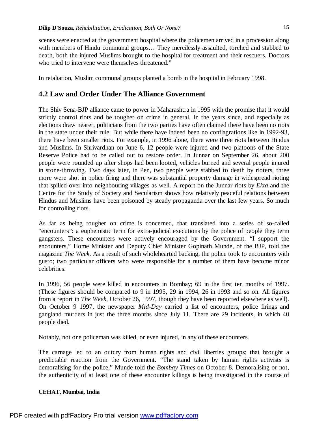scenes were enacted at the government hospital where the policemen arrived in a procession along with members of Hindu communal groups... They mercilessly assaulted, torched and stabbed to death, both the injured Muslims brought to the hospital for treatment and their rescuers. Doctors who tried to intervene were themselves threatened."

In retaliation, Muslim communal groups planted a bomb in the hospital in February 1998.

# **4.2 Law and Order Under The Alliance Government**

The Shiv Sena-BJP alliance came to power in Maharashtra in 1995 with the promise that it would strictly control riots and be tougher on crime in general. In the years since, and especially as elections draw nearer, politicians from the two parties have often claimed there have been no riots in the state under their rule. But while there have indeed been no conflagrations like in 1992-93, there have been smaller riots. For example, in 1996 alone, there were three riots between Hindus and Muslims. In Shrivardhan on June 6, 12 people were injured and two platoons of the State Reserve Police had to be called out to restore order. In Junnar on September 26, about 200 people were rounded up after shops had been looted, vehicles burned and several people injured in stone-throwing. Two days later, in Pen, two people were stabbed to death by rioters, three more were shot in police firing and there was substantial property damage in widespread rioting that spilled over into neighbouring villages as well. A report on the Junnar riots by *Ekta* and the Centre for the Study of Society and Secularism shows how relatively peaceful relations between Hindus and Muslims have been poisoned by steady propaganda over the last few years. So much for controlling riots.

As far as being tougher on crime is concerned, that translated into a series of so-called "encounters": a euphemistic term for extra-judicial executions by the police of people they term gangsters. These encounters were actively encouraged by the Government. "I support the encounters," Home Minister and Deputy Chief Minister Gopinath Munde, of the BJP, told the magazine *The Week*. As a result of such wholehearted backing, the police took to encounters with gusto; two particular officers who were responsible for a number of them have become minor celebrities.

In 1996, 56 people were killed in encounters in Bombay; 69 in the first ten months of 1997. (These figures should be compared to 9 in 1995, 29 in 1994, 26 in 1993 and so on. All figures from a report in *The Week*, October 26, 1997, though they have been reported elsewhere as well). On October 9 1997, the newspaper *Mid-Day* carried a list of encounters, police firings and gangland murders in just the three months since July 11. There are 29 incidents, in which 40 people died.

Notably, not one policeman was killed, or even injured, in any of these encounters.

The carnage led to an outcry from human rights and civil liberties groups; that brought a predictable reaction from the Government. "The stand taken by human rights activists is demoralising for the police," Munde told the *Bombay Times* on October 8. Demoralising or not, the authenticity of at least one of these encounter killings is being investigated in the course of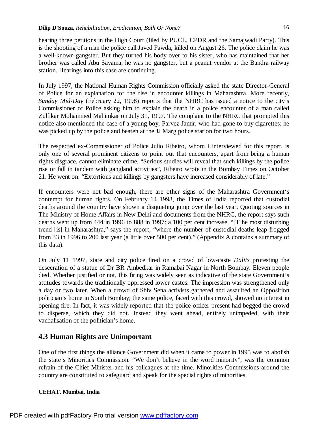hearing three petitions in the High Court (filed by PUCL, CPDR and the Samajwadi Party). This is the shooting of a man the police call Javed Fawda, killed on August 26. The police claim he was a well-known gangster. But they turned his body over to his sister, who has maintained that her brother was called Abu Sayama; he was no gangster, but a peanut vendor at the Bandra railway station. Hearings into this case are continuing.

In July 1997, the National Human Rights Commission officially asked the state Director-General of Police for an explanation for the rise in encounter killings in Maharashtra. More recently, *Sunday Mid-Day* (February 22, 1998) reports that the NHRC has issued a notice to the city's Commissioner of Police asking him to explain the death in a police encounter of a man called Zulfikar Mohammed Mahimkar on July 31, 1997. The complaint to the NHRC that prompted this notice also mentioned the case of a young boy, Parvez Jamir, who had gone to buy cigarettes; he was picked up by the police and beaten at the JJ Marg police station for two hours.

The respected ex-Commissioner of Police Julio Ribeiro, whom I interviewed for this report, is only one of several prominent citizens to point out that encounters, apart from being a human rights disgrace, cannot eliminate crime. "Serious studies will reveal that such killings by the police rise or fall in tandem with gangland activities", Ribeiro wrote in the Bombay Times on October 21. He went on: "Extortions and killings by gangsters have increased considerably of late."

If encounters were not bad enough, there are other signs of the Maharashtra Government's contempt for human rights. On February 14 1998, the Times of India reported that custodial deaths around the country have shown a disquieting jump over the last year. Quoting sources in The Ministry of Home Affairs in New Delhi and documents from the NHRC, the report says such deaths went up from 444 in 1996 to 888 in 1997: a 100 per cent increase. "[T]he most disturbing trend [is] in Maharashtra," says the report, "where the number of custodial deaths leap-frogged from 33 in 1996 to 200 last year (a little over 500 per cent)." (Appendix A contains a summary of this data).

On July 11 1997, state and city police fired on a crowd of low-caste *Dalits* protesting the desecration of a statue of Dr BR Ambedkar in Ramabai Nagar in North Bombay. Eleven people died. Whether justified or not, this firing was widely seen as indicative of the state Government's attitudes towards the traditionally oppressed lower castes. The impression was strengthened only a day or two later. When a crowd of Shiv Sena activists gathered and assaulted an Opposition politician's home in South Bombay; the same police, faced with this crowd, showed no interest in opening fire. In fact, it was widely reported that the police officer present had begged the crowd to disperse, which they did not. Instead they went ahead, entirely unimpeded, with their vandalisation of the politician's home.

# **4.3 Human Rights are Unimportant**

One of the first things the alliance Government did when it came to power in 1995 was to abolish the state's Minorities Commission. "We don't believe in the word minority", was the common refrain of the Chief Minister and his colleagues at the time. Minorities Commissions around the country are constituted to safeguard and speak for the special rights of minorities.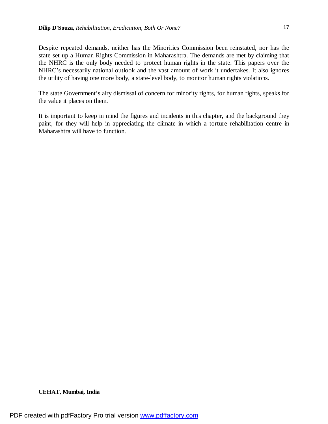Despite repeated demands, neither has the Minorities Commission been reinstated, nor has the state set up a Human Rights Commission in Maharashtra. The demands are met by claiming that the NHRC is the only body needed to protect human rights in the state. This papers over the NHRC's necessarily national outlook and the vast amount of work it undertakes. It also ignores the utility of having one more body, a state-level body, to monitor human rights violations.

The state Government's airy dismissal of concern for minority rights, for human rights, speaks for the value it places on them.

It is important to keep in mind the figures and incidents in this chapter, and the background they paint, for they will help in appreciating the climate in which a torture rehabilitation centre in Maharashtra will have to function.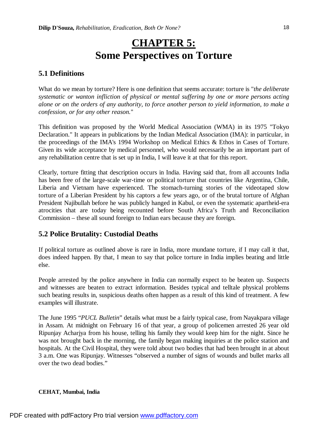# **CHAPTER 5: Some Perspectives on Torture**

# **5.1 Definitions**

What do we mean by torture? Here is one definition that seems accurate: torture is "*the deliberate systematic or wanton infliction of physical or mental suffering by one or more persons acting alone or on the orders of any authority, to force another person to yield information, to make a confession, or for any other reason.*"

This definition was proposed by the World Medical Association (WMA) in its 1975 "Tokyo Declaration." It appears in publications by the Indian Medical Association (IMA): in particular, in the proceedings of the IMA's 1994 Workshop on Medical Ethics & Ethos in Cases of Torture. Given its wide acceptance by medical personnel, who would necessarily be an important part of any rehabilitation centre that is set up in India, I will leave it at that for this report.

Clearly, torture fitting that description occurs in India. Having said that, from all accounts India has been free of the large-scale war-time or political torture that countries like Argentina, Chile, Liberia and Vietnam have experienced. The stomach-turning stories of the videotaped slow torture of a Liberian President by his captors a few years ago, or of the brutal torture of Afghan President Najibullah before he was publicly hanged in Kabul, or even the systematic apartheid-era atrocities that are today being recounted before South Africa's Truth and Reconciliation Commission – these all sound foreign to Indian ears because they are foreign.

# **5.2 Police Brutality: Custodial Deaths**

If political torture as outlined above is rare in India, more mundane torture, if I may call it that, does indeed happen. By that, I mean to say that police torture in India implies beating and little else.

People arrested by the police anywhere in India can normally expect to be beaten up. Suspects and witnesses are beaten to extract information. Besides typical and telltale physical problems such beating results in, suspicious deaths often happen as a result of this kind of treatment. A few examples will illustrate.

The June 1995 "*PUCL Bulletin*" details what must be a fairly typical case, from Nayakpara village in Assam. At midnight on February 16 of that year, a group of policemen arrested 26 year old Ripunjay Acharjya from his house, telling his family they would keep him for the night. Since he was not brought back in the morning, the family began making inquiries at the police station and hospitals. At the Civil Hospital, they were told about two bodies that had been brought in at about 3 a.m. One was Ripunjay. Witnesses "observed a number of signs of wounds and bullet marks all over the two dead bodies."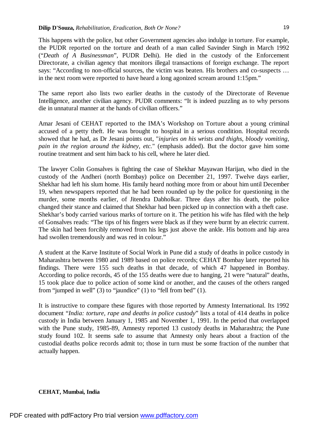This happens with the police, but other Government agencies also indulge in torture. For example, the PUDR reported on the torture and death of a man called Savinder Singh in March 1992 ("*Death of A Businessman*", PUDR Delhi). He died in the custody of the Enforcement Directorate, a civilian agency that monitors illegal transactions of foreign exchange. The report says: "According to non-official sources, the victim was beaten. His brothers and co-suspects … in the next room were reported to have heard a long agonized scream around 1:15pm."

The same report also lists two earlier deaths in the custody of the Directorate of Revenue Intelligence, another civilian agency. PUDR comments: "It is indeed puzzling as to why persons die in unnatural manner at the hands of civilian officers."

Amar Jesani of CEHAT reported to the IMA's Workshop on Torture about a young criminal accused of a petty theft. He was brought to hospital in a serious condition. Hospital records showed that he had, as Dr Jesani points out, "*injuries on his wrists and thighs, bloody vomiting, pain in the region around the kidney, etc.*" (emphasis added). But the doctor gave him some routine treatment and sent him back to his cell, where he later died.

The lawyer Colin Gonsalves is fighting the case of Shekhar Mayawan Harijan, who died in the custody of the Andheri (north Bombay) police on December 21, 1997. Twelve days earlier, Shekhar had left his slum home. His family heard nothing more from or about him until December 19, when newspapers reported that he had been rounded up by the police for questioning in the murder, some months earlier, of Jitendra Dabholkar. Three days after his death, the police changed their stance and claimed that Shekhar had been picked up in connection with a theft case. Shekhar's body carried various marks of torture on it. The petition his wife has filed with the help of Gonsalves reads: "The tips of his fingers were black as if they were burnt by an electric current. The skin had been forcibly removed from his legs just above the ankle. His bottom and hip area had swollen tremendously and was red in colour."

A student at the Karve Institute of Social Work in Pune did a study of deaths in police custody in Maharashtra between 1980 and 1989 based on police records; CEHAT Bombay later reported his findings. There were 155 such deaths in that decade, of which 47 happened in Bombay. According to police records, 45 of the 155 deaths were due to hanging, 21 were "natural" deaths, 15 took place due to police action of some kind or another, and the causes of the others ranged from "jumped in well" (3) to "jaundice" (1) to "fell from bed" (1).

It is instructive to compare these figures with those reported by Amnesty International. Its 1992 document "*India: torture, rape and deaths in police custody*" lists a total of 414 deaths in police custody in India between January 1, 1985 and November 1, 1991. In the period that overlapped with the Pune study, 1985-89, Amnesty reported 13 custody deaths in Maharashtra; the Pune study found 102. It seems safe to assume that Amnesty only hears about a fraction of the custodial deaths police records admit to; those in turn must be some fraction of the number that actually happen.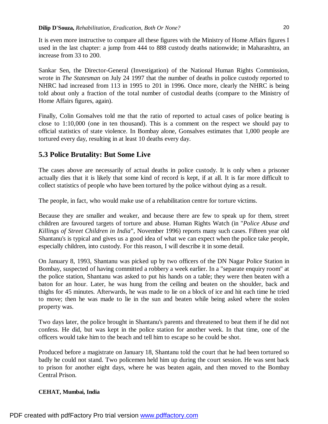It is even more instructive to compare all these figures with the Ministry of Home Affairs figures I used in the last chapter: a jump from 444 to 888 custody deaths nationwide; in Maharashtra, an increase from 33 to 200.

Sankar Sen, the Director-General (Investigation) of the National Human Rights Commission, wrote in *The Statesman* on July 24 1997 that the number of deaths in police custody reported to NHRC had increased from 113 in 1995 to 201 in 1996. Once more, clearly the NHRC is being told about only a fraction of the total number of custodial deaths (compare to the Ministry of Home Affairs figures, again).

Finally, Colin Gonsalves told me that the ratio of reported to actual cases of police beating is close to 1:10,000 (one in ten thousand). This is a comment on the respect we should pay to official statistics of state violence. In Bombay alone, Gonsalves estimates that 1,000 people are tortured every day, resulting in at least 10 deaths every day.

# **5.3 Police Brutality: But Some Live**

The cases above are necessarily of actual deaths in police custody. It is only when a prisoner actually dies that it is likely that some kind of record is kept, if at all. It is far more difficult to collect statistics of people who have been tortured by the police without dying as a result.

The people, in fact, who would make use of a rehabilitation centre for torture victims.

Because they are smaller and weaker, and because there are few to speak up for them, street children are favoured targets of torture and abuse. Human Rights Watch (in "*Police Abuse and Killings of Street Children in India*", November 1996) reports many such cases. Fifteen year old Shantanu's is typical and gives us a good idea of what we can expect when the police take people, especially children, into custody. For this reason, I will describe it in some detail.

On January 8, 1993, Shantanu was picked up by two officers of the DN Nagar Police Station in Bombay, suspected of having committed a robbery a week earlier. In a "separate enquiry room" at the police station, Shantanu was asked to put his hands on a table; they were then beaten with a baton for an hour. Later, he was hung from the ceiling and beaten on the shoulder, back and thighs for 45 minutes. Afterwards, he was made to lie on a block of ice and hit each time he tried to move; then he was made to lie in the sun and beaten while being asked where the stolen property was.

Two days later, the police brought in Shantanu's parents and threatened to beat them if he did not confess. He did, but was kept in the police station for another week. In that time, one of the officers would take him to the beach and tell him to escape so he could be shot.

Produced before a magistrate on January 18, Shantanu told the court that he had been tortured so badly he could not stand. Two policemen held him up during the court session. He was sent back to prison for another eight days, where he was beaten again, and then moved to the Bombay Central Prison.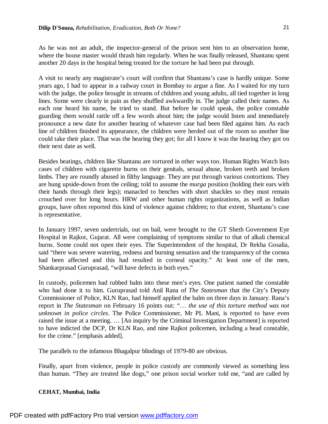As he was not an adult, the inspector-general of the prison sent him to an observation home, where the house master would thrash him regularly. When he was finally released, Shantanu spent another 20 days in the hospital being treated for the torture he had been put through.

A visit to nearly any magistrate's court will confirm that Shantanu's case is hardly unique. Some years ago, I had to appear in a railway court in Bombay to argue a fine. As I waited for my turn with the judge, the police brought in streams of children and young adults, all tied together in long lines. Some were clearly in pain as they shuffled awkwardly in. The judge called their names. As each one heard his name, he tried to stand. But before he could speak, the police constable guarding them would rattle off a few words about him; the judge would listen and immediately pronounce a new date for another hearing of whatever case had been filed against him. As each line of children finished its appearance, the children were herded out of the room so another line could take their place. That was the hearing they got; for all I know it was the hearing they got on their next date as well.

Besides beatings, children like Shantanu are tortured in other ways too. Human Rights Watch lists cases of children with cigarette burns on their genitals, sexual abuse, broken teeth and broken limbs. They are roundly abused in filthy language. They are put through various contortions. They are hung upside-down from the ceiling; told to assume the *murga* position (holding their ears with their hands through their legs); manacled to benches with short shackles so they must remain crouched over for long hours. HRW and other human rights organizations, as well as Indian groups, have often reported this kind of violence against children; to that extent, Shantanu's case is representative.

In January 1997, seven undertrials, out on bail, were brought to the GT Sheth Government Eye Hospital in Rajkot, Gujarat. All were complaining of symptoms similar to that of alkali chemical burns. Some could not open their eyes. The Superintendent of the hospital, Dr Rekha Gosalia, said "there was severe watering, redness and burning sensation and the transparency of the cornea had been affected and this had resulted in corneal opacity." At least one of the men, Shankarprasad Guruprasad, "will have defects in both eyes."

In custody, policemen had rubbed balm into these men's eyes. One patient named the constable who had done it to him. Guruprasad told Anil Rana of *The Statesman* that the City's Deputy Commissioner of Police, KLN Rao, had himself applied the balm on three days in January. Rana's report in *The Statesman* on February 16 points out: "… *the use of this torture method was not unknown in police circles*. The Police Commissioner, Mr PL Mani, is reported to have even raised the issue at a meeting. … [An inquiry by the Criminal Investigation Department] is reported to have indicted the DCP, Dr KLN Rao, and nine Rajkot policemen, including a head constable, for the crime." [emphasis added].

The parallels to the infamous Bhagalpur blindings of 1979-80 are obvious.

Finally, apart from violence, people in police custody are commonly viewed as something less than human. "They are treated like dogs," one prison social worker told me, "and are called by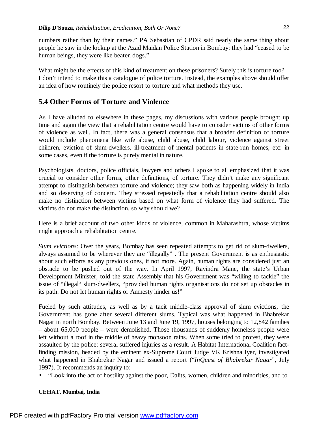numbers rather than by their names." PA Sebastian of CPDR said nearly the same thing about people he saw in the lockup at the Azad Maidan Police Station in Bombay: they had "ceased to be human beings, they were like beaten dogs."

What might be the effects of this kind of treatment on these prisoners? Surely this is torture too? I don't intend to make this a catalogue of police torture. Instead, the examples above should offer an idea of how routinely the police resort to torture and what methods they use.

## **5.4 Other Forms of Torture and Violence**

As I have alluded to elsewhere in these pages, my discussions with various people brought up time and again the view that a rehabilitation centre would have to consider victims of other forms of violence as well. In fact, there was a general consensus that a broader definition of torture would include phenomena like wife abuse, child abuse, child labour, violence against street children, eviction of slum-dwellers, ill-treatment of mental patients in state-run homes, etc: in some cases, even if the torture is purely mental in nature.

Psychologists, doctors, police officials, lawyers and others I spoke to all emphasized that it was crucial to consider other forms, other definitions, of torture. They didn't make any significant attempt to distinguish between torture and violence; they saw both as happening widely in India and so deserving of concern. They stressed repeatedly that a rehabilitation centre should also make no distinction between victims based on what form of violence they had suffered. The victims do not make the distinction, so why should we?

Here is a brief account of two other kinds of violence, common in Maharashtra, whose victims might approach a rehabilitation centre.

*Slum evictions*: Over the years, Bombay has seen repeated attempts to get rid of slum-dwellers, always assumed to be wherever they are "illegally" . The present Government is as enthusiastic about such efforts as any previous ones, if not more. Again, human rights are considered just an obstacle to be pushed out of the way. In April 1997, Ravindra Mane, the state's Urban Development Minister, told the state Assembly that his Government was "willing to tackle" the issue of "illegal" slum-dwellers, "provided human rights organisations do not set up obstacles in its path. Do not let human rights or Amnesty hinder us!"

Fueled by such attitudes, as well as by a tacit middle-class approval of slum evictions, the Government has gone after several different slums. Typical was what happened in Bhabrekar Nagar in north Bombay. Between June 13 and June 19, 1997, houses belonging to 12,842 families – about 65,000 people – were demolished. Those thousands of suddenly homeless people were left without a roof in the middle of heavy monsoon rains. When some tried to protest, they were assaulted by the police: several suffered injuries as a result. A Habitat International Coalition factfinding mission, headed by the eminent ex-Supreme Court Judge VK Krishna Iyer, investigated what happened in Bhabrekar Nagar and issued a report ("*InQuest of Bhabrekar Nagar*", July 1997). It recommends an inquiry to:

• "Look into the act of hostility against the poor, Dalits, women, children and minorities, and to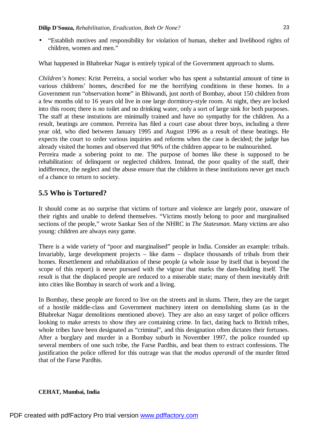• "Establish motives and responsibility for violation of human, shelter and livelihood rights of children, women and men."

What happened in Bhabrekar Nagar is entirely typical of the Government approach to slums.

*Children's homes*: Krist Perreira, a social worker who has spent a substantial amount of time in various childrens' homes, described for me the horrifying conditions in these homes. In a Government run "observation home" in Bhiwandi, just north of Bombay, about 150 children from a few months old to 16 years old live in one large dormitory-style room. At night, they are locked into this room; there is no toilet and no drinking water, only a sort of large sink for both purposes. The staff at these instutions are minimally trained and have no sympathy for the children. As a result, beatings are common. Perreira has filed a court case about three boys, including a three year old, who died between January 1995 and August 1996 as a result of these beatings. He expects the court to order various inquiries and reforms when the case is decided; the judge has already visited the homes and observed that 90% of the children appear to be malnourished.

Perreira made a sobering point to me. The purpose of homes like these is supposed to be rehabilitation: of delinquent or neglected children. Instead, the poor quality of the staff, their indifference, the neglect and the abuse ensure that the children in these institutions never get much of a chance to return to society.

# **5.5 Who is Tortured?**

It should come as no surprise that victims of torture and violence are largely poor, unaware of their rights and unable to defend themselves. "Victims mostly belong to poor and marginalised sections of the people," wrote Sankar Sen of the NHRC in *The Statesman*. Many victims are also young: children are always easy game.

There is a wide variety of "poor and marginalised" people in India. Consider an example: tribals. Invariably, large development projects – like dams – displace thousands of tribals from their homes. Resettlement and rehabilitation of these people (a whole issue by itself that is beyond the scope of this report) is never pursued with the vigour that marks the dam-building itself. The result is that the displaced people are reduced to a miserable state; many of them inevitably drift into cities like Bombay in search of work and a living.

In Bombay, these people are forced to live on the streets and in slums. There, they are the target of a hostile middle-class and Government machinery intent on demolishing slums (as in the Bhabrekar Nagar demolitions mentioned above). They are also an easy target of police officers looking to make arrests to show they are containing crime. In fact, dating back to British tribes, whole tribes have been designated as "criminal", and this designation often dictates their fortunes. After a burglary and murder in a Bombay suburb in November 1997, the police rounded up several members of one such tribe, the Farse Pardhis, and beat them to extract confessions. The justification the police offered for this outrage was that the *modus operandi* of the murder fitted that of the Farse Pardhis.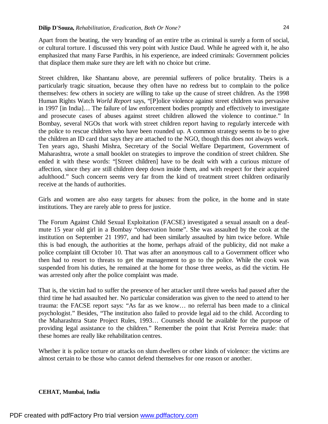Apart from the beating, the very branding of an entire tribe as criminal is surely a form of social, or cultural torture. I discussed this very point with Justice Daud. While he agreed with it, he also emphasized that many Farse Pardhis, in his experience, are indeed criminals: Government policies that displace them make sure they are left with no choice but crime.

Street children, like Shantanu above, are perennial sufferers of police brutality. Theirs is a particularly tragic situation, because they often have no redress but to complain to the police themselves: few others in society are willing to take up the cause of street children. As the 1998 Human Rights Watch *World Report* says, "[P]olice violence against street children was pervasive in 1997 [in India]… The failure of law enforcement bodies promptly and effectively to investigate and prosecute cases of abuses against street children allowed the violence to continue." In Bombay, several NGOs that work with street children report having to regularly intercede with the police to rescue children who have been rounded up. A common strategy seems to be to give the children an ID card that says they are attached to the NGO, though this does not always work. Ten years ago, Shashi Mishra, Secretary of the Social Welfare Department, Government of Maharashtra, wrote a small booklet on strategies to improve the condition of street children. She ended it with these words: "[Street children] have to be dealt with with a curious mixture of affection, since they are still children deep down inside them, and with respect for their acquired adulthood." Such concern seems very far from the kind of treatment street children ordinarily receive at the hands of authorities.

Girls and women are also easy targets for abuses: from the police, in the home and in state institutions. They are rarely able to press for justice.

The Forum Against Child Sexual Exploitation (FACSE) investigated a sexual assault on a deafmute 15 year old girl in a Bombay "observation home". She was assaulted by the cook at the institution on September 21 1997, and had been similarly assaulted by him twice before. While this is bad enough, the authorities at the home, perhaps afraid of the publicity, did not make a police complaint till October 10. That was after an anonymous call to a Government officer who then had to resort to threats to get the management to go to the police. While the cook was suspended from his duties, he remained at the home for those three weeks, as did the victim. He was arrested only after the police complaint was made.

That is, the victim had to suffer the presence of her attacker until three weeks had passed after the third time he had assaulted her. No particular consideration was given to the need to attend to her trauma: the FACSE report says: "As far as we know… no referral has been made to a clinical psychologist." Besides, "The institution also failed to provide legal aid to the child. According to the Maharashtra State Project Rules, 1993… Counsels should be available for the purpose of providing legal assistance to the children." Remember the point that Krist Perreira made: that these homes are really like rehabilitation centres.

Whether it is police torture or attacks on slum dwellers or other kinds of violence: the victims are almost certain to be those who cannot defend themselves for one reason or another.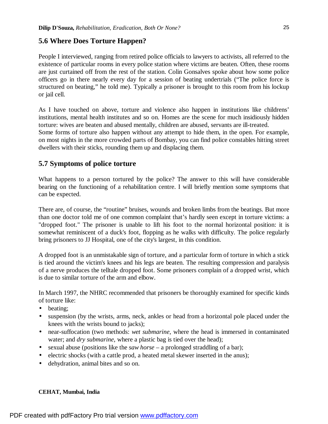## **5.6 Where Does Torture Happen?**

People I interviewed, ranging from retired police officials to lawyers to activists, all referred to the existence of particular rooms in every police station where victims are beaten. Often, these rooms are just curtained off from the rest of the station. Colin Gonsalves spoke about how some police officers go in there nearly every day for a session of beating undertrials ("The police force is structured on beating," he told me). Typically a prisoner is brought to this room from his lockup or jail cell.

As I have touched on above, torture and violence also happen in institutions like childrens' institutions, mental health institutes and so on. Homes are the scene for much insidiously hidden torture: wives are beaten and abused mentally, children are abused, servants are ill-treated. Some forms of torture also happen without any attempt to hide them, in the open. For example, on most nights in the more crowded parts of Bombay, you can find police constables hitting street dwellers with their sticks, rounding them up and displacing them.

## **5.7 Symptoms of police torture**

What happens to a person tortured by the police? The answer to this will have considerable bearing on the functioning of a rehabilitation centre. I will briefly mention some symptoms that can be expected.

There are, of course, the "routine" bruises, wounds and broken limbs from the beatings. But more than one doctor told me of one common complaint that's hardly seen except in torture victims: a "dropped foot." The prisoner is unable to lift his foot to the normal horizontal position: it is somewhat reminiscent of a duck's foot, flopping as he walks with difficulty. The police regularly bring prisoners to JJ Hospital, one of the city's largest, in this condition.

A dropped foot is an unmistakable sign of torture, and a particular form of torture in which a stick is tied around the victim's knees and his legs are beaten. The resulting compression and paralysis of a nerve produces the telltale dropped foot. Some prisoners complain of a dropped wrist, which is due to similar torture of the arm and elbow.

In March 1997, the NHRC recommended that prisoners be thoroughly examined for specific kinds of torture like:

- beating:
- suspension (by the wrists, arms, neck, ankles or head from a horizontal pole placed under the knees with the wrists bound to jacks);
- near-suffocation (two methods: *wet submarine*, where the head is immersed in contaminated water; and *dry submarine*, where a plastic bag is tied over the head);
- sexual abuse (positions like the *saw horse* a prolonged straddling of a bar);
- electric shocks (with a cattle prod, a heated metal skewer inserted in the anus);
- dehydration, animal bites and so on.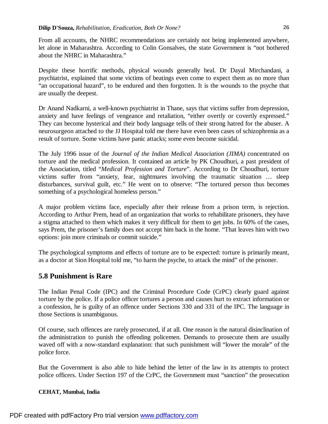From all accounts, the NHRC recommendations are certainly not being implemented anywhere, let alone in Maharashtra. According to Colin Gonsalves, the state Government is "not bothered about the NHRC in Maharashtra."

Despite these horrific methods, physical wounds generally heal. Dr Dayal Mirchandani, a psychiatrist, explained that some victims of beatings even come to expect them as no more than "an occupational hazard", to be endured and then forgotten. It is the wounds to the psyche that are usually the deepest.

Dr Anand Nadkarni, a well-known psychiatrist in Thane, says that victims suffer from depression, anxiety and have feelings of vengeance and retaliation, "either overtly or covertly expressed." They can become hysterical and their body language tells of their strong hatred for the abuser. A neurosurgeon attached to the JJ Hospital told me there have even been cases of schizophrenia as a result of torture. Some victims have panic attacks; some even become suicidal.

The July 1996 issue of the *Journal of the Indian Medical Association (JIMA)* concentrated on torture and the medical profession. It contained an article by PK Choudhuri, a past president of the Association, titled "*Medical Profession and Torture*". According to Dr Choudhuri, torture victims suffer from "anxiety, fear, nightmares involving the traumatic situation … sleep disturbances, survival guilt, etc." He went on to observe: "The tortured person thus becomes something of a psychological homeless person."

A major problem victims face, especially after their release from a prison term, is rejection. According to Arthur Prem, head of an organization that works to rehabilitate prisoners, they have a stigma attached to them which makes it very difficult for them to get jobs. In 60% of the cases, says Prem, the prisoner's family does not accept him back in the home. "That leaves him with two options: join more criminals or commit suicide."

The psychological symptoms and effects of torture are to be expected: torture is primarily meant, as a doctor at Sion Hospital told me, "to harm the psyche, to attack the mind" of the prisoner.

# **5.8 Punishment is Rare**

The Indian Penal Code (IPC) and the Criminal Procedure Code (CrPC) clearly guard against torture by the police. If a police officer tortures a person and causes hurt to extract information or a confession, he is guilty of an offence under Sections 330 and 331 of the IPC. The language in those Sections is unambiguous.

Of course, such offences are rarely prosecuted, if at all. One reason is the natural disinclination of the administration to punish the offending policemen. Demands to prosecute them are usually waved off with a now-standard explanation: that such punishment will "lower the morale" of the police force.

But the Government is also able to hide behind the letter of the law in its attempts to protect police officers. Under Section 197 of the CrPC, the Government must "sanction" the prosecution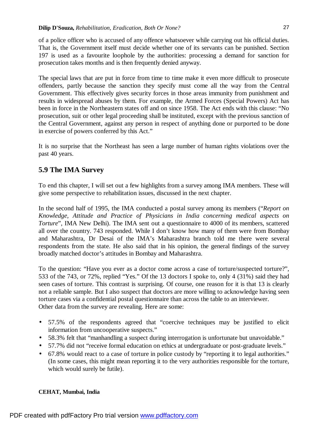of a police officer who is accused of any offence whatsoever while carrying out his official duties. That is, the Government itself must decide whether one of its servants can be punished. Section 197 is used as a favourite loophole by the authorities: processing a demand for sanction for prosecution takes months and is then frequently denied anyway.

The special laws that are put in force from time to time make it even more difficult to prosecute offenders, partly because the sanction they specify must come all the way from the Central Government. This effectively gives security forces in those areas immunity from punishment and results in widespread abuses by them. For example, the Armed Forces (Special Powers) Act has been in force in the Northeastern states off and on since 1958. The Act ends with this clause: "No prosecution, suit or other legal proceeding shall be instituted, except with the previous sanction of the Central Government, against any person in respect of anything done or purported to be done in exercise of powers conferred by this Act."

It is no surprise that the Northeast has seen a large number of human rights violations over the past 40 years.

# **5.9 The IMA Survey**

To end this chapter, I will set out a few highlights from a survey among IMA members. These will give some perspective to rehabilitation issues, discussed in the next chapter.

In the second half of 1995, the IMA conducted a postal survey among its members ("*Report on Knowledge, Attitude and Practice of Physicians in India concerning medical aspects on Torture*", IMA New Delhi). The IMA sent out a questionnaire to 4000 of its members, scattered all over the country. 743 responded. While I don't know how many of them were from Bombay and Maharashtra, Dr Desai of the IMA's Maharashtra branch told me there were several respondents from the state. He also said that in his opinion, the general findings of the survey broadly matched doctor's attitudes in Bombay and Maharashtra.

To the question: "Have you ever as a doctor come across a case of torture/suspected torture?", 533 of the 743, or 72%, replied "Yes." Of the 13 doctors I spoke to, only 4 (31%) said they had seen cases of torture. This contrast is surprising. Of course, one reason for it is that 13 is clearly not a reliable sample. But I also suspect that doctors are more willing to acknowledge having seen torture cases via a confidential postal questionnaire than across the table to an interviewer. Other data from the survey are revealing. Here are some:

- 57.5% of the respondents agreed that "coercive techniques may be justified to elicit information from uncooperative suspects."
- 58.3% felt that "manhandling a suspect during interrogation is unfortunate but unavoidable."
- 57.7% did not "receive formal education on ethics at undergraduate or post-graduate levels."
- 67.8% would react to a case of torture in police custody by "reporting it to legal authorities." (In some cases, this might mean reporting it to the very authorities responsible for the torture, which would surely be futile).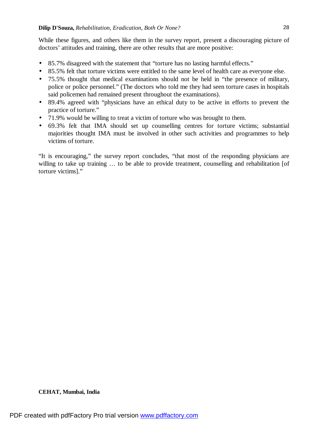While these figures, and others like them in the survey report, present a discouraging picture of doctors' attitudes and training, there are other results that are more positive:

- 85.7% disagreed with the statement that "torture has no lasting harmful effects."
- 85.5% felt that torture victims were entitled to the same level of health care as everyone else.
- 75.5% thought that medical examinations should not be held in "the presence of military, police or police personnel." (The doctors who told me they had seen torture cases in hospitals said policemen had remained present throughout the examinations).
- 89.4% agreed with "physicians have an ethical duty to be active in efforts to prevent the practice of torture."
- 71.9% would be willing to treat a victim of torture who was brought to them.
- 69.3% felt that IMA should set up counselling centres for torture victims; substantial majorities thought IMA must be involved in other such activities and programmes to help victims of torture.

"It is encouraging," the survey report concludes, "that most of the responding physicians are willing to take up training ... to be able to provide treatment, counselling and rehabilitation [of torture victims]."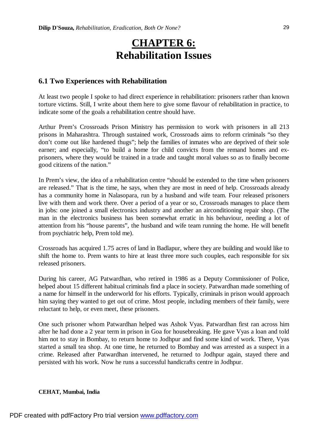# **CHAPTER 6: Rehabilitation Issues**

## **6.1 Two Experiences with Rehabilitation**

At least two people I spoke to had direct experience in rehabilitation: prisoners rather than known torture victims. Still, I write about them here to give some flavour of rehabilitation in practice, to indicate some of the goals a rehabilitation centre should have.

Arthur Prem's Crossroads Prison Ministry has permission to work with prisoners in all 213 prisons in Maharashtra. Through sustained work, Crossroads aims to reform criminals "so they don't come out like hardened thugs"; help the families of inmates who are deprived of their sole earner; and especially, "to build a home for child convicts from the remand homes and exprisoners, where they would be trained in a trade and taught moral values so as to finally become good citizens of the nation."

In Prem's view, the idea of a rehabilitation centre "should be extended to the time when prisoners are released." That is the time, he says, when they are most in need of help. Crossroads already has a community home in Nalasopara, run by a husband and wife team. Four released prisoners live with them and work there. Over a period of a year or so, Crossroads manages to place them in jobs: one joined a small electronics industry and another an airconditioning repair shop. (The man in the electronics business has been somewhat erratic in his behaviour, needing a lot of attention from his "house parents", the husband and wife team running the home. He will benefit from psychiatric help, Prem told me).

Crossroads has acquired 1.75 acres of land in Badlapur, where they are building and would like to shift the home to. Prem wants to hire at least three more such couples, each responsible for six released prisoners.

During his career, AG Patwardhan, who retired in 1986 as a Deputy Commissioner of Police, helped about 15 different habitual criminals find a place in society. Patwardhan made something of a name for himself in the underworld for his efforts. Typically, criminals in prison would approach him saying they wanted to get out of crime. Most people, including members of their family, were reluctant to help, or even meet, these prisoners.

One such prisoner whom Patwardhan helped was Ashok Vyas. Patwardhan first ran across him after he had done a 2 year term in prison in Goa for housebreaking. He gave Vyas a loan and told him not to stay in Bombay, to return home to Jodhpur and find some kind of work. There, Vyas started a small tea shop. At one time, he returned to Bombay and was arrested as a suspect in a crime. Released after Patwardhan intervened, he returned to Jodhpur again, stayed there and persisted with his work. Now he runs a successful handicrafts centre in Jodhpur.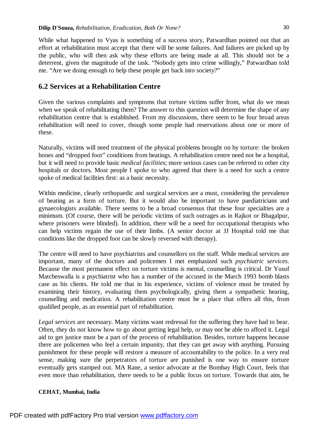While what happened to Vyas is something of a success story, Patwardhan pointed out that an effort at rehabilitation must accept that there will be some failures. And failures are picked up by the public, who will then ask why these efforts are being made at all. This should not be a deterrent, given the magnitude of the task. "Nobody gets into crime willingly," Patwardhan told me. "Are we doing enough to help these people get back into society?"

## **6.2 Services at a Rehabilitation Centre**

Given the various complaints and symptoms that torture victims suffer from, what do we mean when we speak of rehabilitating them? The answer to this question will determine the shape of any rehabilitation centre that is established. From my discussions, there seem to be four broad areas rehabilitation will need to cover, though some people had reservations about one or more of these.

Naturally, victims will need treatment of the physical problems brought on by torture: the broken bones and "dropped foot" conditions from beatings. A rehabilitation centre need not be a hospital, but it will need to provide basic *medical facilities*; more serious cases can be referred to other city hospitals or doctors. Most people I spoke to who agreed that there is a need for such a centre spoke of medical facilities first: as a basic necessity.

Within medicine, clearly orthopaedic and surgical services are a must, considering the prevalence of beating as a form of torture. But it would also be important to have paediatricians and gynaecologists available. There seems to be a broad consensus that these four specialties are a minimum. (Of course, there will be periodic victims of such outrages as in Rajkot or Bhagalpur, where prisoners were blinded). In addition, there will be a need for occupational therapists who can help victims regain the use of their limbs. (A senior doctor at JJ Hospital told me that conditions like the dropped foot can be slowly reversed with therapy).

The centre will need to have psychiatrists and counsellors on the staff. While medical services are important, many of the doctors and policemen I met emphasized such *psychiatric services*. Because the most permanent effect on torture victims is mental, counselling is critical. Dr Yusuf Matcheswalla is a psychiatrist who has a number of the accused in the March 1993 bomb blasts case as his clients. He told me that in his experience, victims of violence must be treated by examining their history, evaluating them psychologically, giving them a sympathetic hearing, counselling and medication. A rehabilitation centre must be a place that offers all this, from qualified people, as an essential part of rehabilitation.

*Legal services* are necessary. Many victims want redressal for the suffering they have had to bear. Often, they do not know how to go about getting legal help, or may not be able to afford it. Legal aid to get justice must be a part of the process of rehabilitation. Besides, torture happens because there are policemen who feel a certain impunity, that they can get away with anything. Pursuing punishment for these people will restore a measure of accountability to the police. In a very real sense, making sure the perpetrators of torture are punished is one way to ensure torture eventually gets stamped out. MA Rane, a senior advocate at the Bombay High Court, feels that even more than rehabilitation, there needs to be a public focus on torture. Towards that aim, he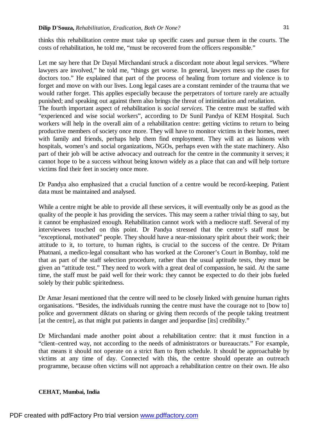thinks this rehabilitation centre must take up specific cases and pursue them in the courts. The costs of rehabilitation, he told me, "must be recovered from the officers responsible."

Let me say here that Dr Dayal Mirchandani struck a discordant note about legal services. "Where lawyers are involved," he told me, "things get worse. In general, lawyers mess up the cases for doctors too." He explained that part of the process of healing from torture and violence is to forget and move on with our lives. Long legal cases are a constant reminder of the trauma that we would rather forget. This applies especially because the perpetrators of torture rarely are actually punished; and speaking out against them also brings the threat of intimidation and retaliation. The fourth important aspect of rehabilitation is *social services*. The centre must be staffed with "experienced and wise social workers", according to Dr Sunil Pandya of KEM Hospital. Such workers will help in the overall aim of a rehabilitation centre: getting victims to return to being productive members of society once more. They will have to monitor victims in their homes, meet with family and friends, perhaps help them find employment. They will act as liaisons with hospitals, women's and social organizations, NGOs, perhaps even with the state machinery. Also part of their job will be active advocacy and outreach for the centre in the community it serves; it cannot hope to be a success without being known widely as a place that can and will help torture victims find their feet in society once more.

Dr Pandya also emphasized that a crucial function of a centre would be record-keeping. Patient data must be maintained and analysed.

While a centre might be able to provide all these services, it will eventually only be as good as the quality of the people it has providing the services. This may seem a rather trivial thing to say, but it cannot be emphasized enough. Rehabilitation cannot work with a mediocre staff. Several of my interviewees touched on this point. Dr Pandya stressed that the centre's staff must be "exceptional, motivated" people. They should have a near-missionary spirit about their work; their attitude to it, to torture, to human rights, is crucial to the success of the centre. Dr Pritam Phatnani, a medico-legal consultant who has worked at the Coroner's Court in Bombay, told me that as part of the staff selection procedure, rather than the usual aptitude tests, they must be given an "attitude test." They need to work with a great deal of compassion, he said. At the same time, the staff must be paid well for their work: they cannot be expected to do their jobs fueled solely by their public spiritedness.

Dr Amar Jesani mentioned that the centre will need to be closely linked with genuine human rights organisations. "Besides, the individuals running the centre must have the courage not to [bow to] police and government diktats on sharing or giving them records of the people taking treatment [at the centre], as that might put patients in danger and jeopardise [its] credibility."

Dr Mirchandani made another point about a rehabilitation centre: that it must function in a "client–centred way, not according to the needs of administrators or bureaucrats." For example, that means it should not operate on a strict 8am to 8pm schedule. It should be approachable by victims at any time of day. Connected with this, the centre should operate an outreach programme, because often victims will not approach a rehabilitation centre on their own. He also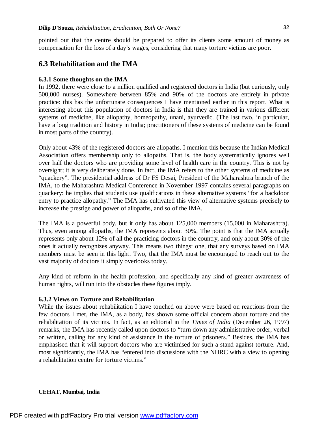pointed out that the centre should be prepared to offer its clients some amount of money as compensation for the loss of a day's wages, considering that many torture victims are poor.

### **6.3 Rehabilitation and the IMA**

#### **6.3.1 Some thoughts on the IMA**

In 1992, there were close to a million qualified and registered doctors in India (but curiously, only 500,000 nurses). Somewhere between 85% and 90% of the doctors are entirely in private practice: this has the unfortunate consequences I have mentioned earlier in this report. What is interesting about this population of doctors in India is that they are trained in various different systems of medicine, like allopathy, homeopathy, unani, ayurvedic. (The last two, in particular, have a long tradition and history in India; practitioners of these systems of medicine can be found in most parts of the country).

Only about 43% of the registered doctors are allopaths. I mention this because the Indian Medical Association offers membership only to allopaths. That is, the body systematically ignores well over half the doctors who are providing some level of health care in the country. This is not by oversight; it is very deliberately done. In fact, the IMA refers to the other systems of medicine as "quackery". The presidential address of Dr FS Desai, President of the Maharashtra branch of the IMA, to the Maharashtra Medical Conference in November 1997 contains several paragraphs on quackery: he implies that students use qualifications in these alternative systems "for a backdoor entry to practice allopathy." The IMA has cultivated this view of alternative systems precisely to increase the prestige and power of allopaths, and so of the IMA.

The IMA is a powerful body, but it only has about 125,000 members (15,000 in Maharashtra). Thus, even among allopaths, the IMA represents about 30%. The point is that the IMA actually represents only about 12% of all the practicing doctors in the country, and only about 30% of the ones it actually recognizes anyway. This means two things: one, that any surveys based on IMA members must be seen in this light. Two, that the IMA must be encouraged to reach out to the vast majority of doctors it simply overlooks today.

Any kind of reform in the health profession, and specifically any kind of greater awareness of human rights, will run into the obstacles these figures imply.

### **6.3.2 Views on Torture and Rehabilitation**

While the issues about rehabilitation I have touched on above were based on reactions from the few doctors I met, the IMA, as a body, has shown some official concern about torture and the rehabilitation of its victims. In fact, as an editorial in the *Times of India* (December 26, 1997) remarks, the IMA has recently called upon doctors to "turn down any administrative order, verbal or written, calling for any kind of assistance in the torture of prisoners." Besides, the IMA has emphasised that it will support doctors who are victimised for such a stand against torture. And, most significantly, the IMA has "entered into discussions with the NHRC with a view to opening a rehabilitation centre for torture victims."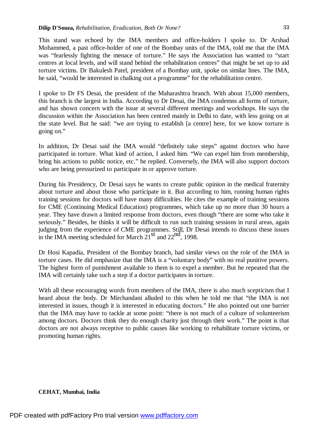This stand was echoed by the IMA members and office-holders I spoke to. Dr Arshad Mohammed, a past office-holder of one of the Bombay units of the IMA, told me that the IMA was "fearlessly fighting the menace of torture." He says the Association has wanted to "start centres at local levels, and will stand behind the rehabilitation centres" that might be set up to aid torture victims. Dr Bakulesh Patel, president of a Bombay unit, spoke on similar lines. The IMA, he said, "would be interested in chalking out a programme" for the rehabilitation centre.

I spoke to Dr FS Desai, the president of the Maharashtra branch. With about 15,000 members, this branch is the largest in India. According to Dr Desai, the IMA condemns all forms of torture, and has shown concern with the issue at several different meetings and workshops. He says the discussion within the Association has been centred mainly in Delhi to date, with less going on at the state level. But he said: "we are trying to establish [a centre] here, for we know torture is going on."

In addition, Dr Desai said the IMA would "definitely take steps" against doctors who have participated in torture. What kind of action, I asked him. "We can expel him from membership, bring his actions to public notice, etc." he replied. Conversely, the IMA will also support doctors who are being pressurized to participate in or approve torture.

During his Presidency, Dr Desai says he wants to create public opinion in the medical fraternity about torture and about those who participate in it. But according to him, running human rights training sessions for doctors will have many difficulties. He cites the example of training sessions for CME (Continuing Medical Education) programmes, which take up no more than 30 hours a year. They have drawn a limited response from doctors, even though "there are some who take it seriously." Besides, he thinks it will be difficult to run such training sessions in rural areas, again judging from the experience of CME programmes. Still, Dr Desai intends to discuss these issues in the IMA meeting scheduled for March  $21<sup>st</sup>$  and  $22<sup>nd</sup>$ , 1998.

Dr Hosi Kapadia, President of the Bombay branch, had similar views on the role of the IMA in torture cases. He did emphasize that the IMA is a "voluntary body" with no real punitive powers. The highest form of punishment available to them is to expel a member. But he repeated that the IMA will certainly take such a step if a doctor participates in torture.

With all these encouraging words from members of the IMA, there is also much scepticism that I heard about the body. Dr Mirchandani alluded to this when he told me that "the IMA is not interested in issues, though it is interested in educating doctors." He also pointed out one barrier that the IMA may have to tackle at some point: "there is not much of a culture of volunteerism among doctors. Doctors think they do enough charity just through their work." The point is that doctors are not always receptive to public causes like working to rehabilitate torture victims, or promoting human rights.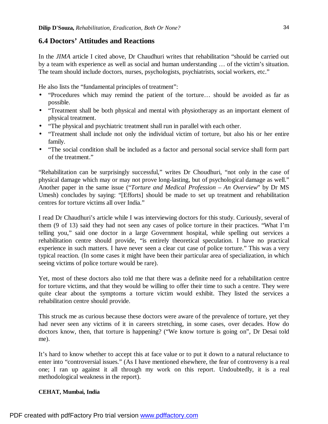## **6.4 Doctors' Attitudes and Reactions**

In the *JIMA* article I cited above, Dr Chaudhuri writes that rehabilitation "should be carried out by a team with experience as well as social and human understanding … of the victim's situation. The team should include doctors, nurses, psychologists, psychiatrists, social workers, etc."

He also lists the "fundamental principles of treatment":

- "Procedures which may remind the patient of the torture… should be avoided as far as possible.
- "Treatment shall be both physical and mental with physiotherapy as an important element of physical treatment.
- "The physical and psychiatric treatment shall run in parallel with each other.
- "Treatment shall include not only the individual victim of torture, but also his or her entire family.
- "The social condition shall be included as a factor and personal social service shall form part of the treatment."

"Rehabilitation can be surprisingly successful," writes Dr Choudhuri, "not only in the case of physical damage which may or may not prove long-lasting, but of psychological damage as well." Another paper in the same issue ("*Torture and Medical Profession – An Overview*" by Dr MS Umesh) concludes by saying: "[Efforts] should be made to set up treatment and rehabilitation centres for torture victims all over India."

I read Dr Chaudhuri's article while I was interviewing doctors for this study. Curiously, several of them (9 of 13) said they had not seen any cases of police torture in their practices. "What I'm telling you," said one doctor in a large Government hospital, while spelling out services a rehabilitation centre should provide, "is entirely theoretical speculation. I have no practical experience in such matters. I have never seen a clear cut case of police torture." This was a very typical reaction. (In some cases it might have been their particular area of specialization, in which seeing victims of police torture would be rare).

Yet, most of these doctors also told me that there was a definite need for a rehabilitation centre for torture victims, and that they would be willing to offer their time to such a centre. They were quite clear about the symptoms a torture victim would exhibit. They listed the services a rehabilitation centre should provide.

This struck me as curious because these doctors were aware of the prevalence of torture, yet they had never seen any victims of it in careers stretching, in some cases, over decades. How do doctors know, then, that torture is happening? ("We know torture is going on", Dr Desai told me).

It's hard to know whether to accept this at face value or to put it down to a natural reluctance to enter into "controversial issues." (As I have mentioned elsewhere, the fear of controversy is a real one; I ran up against it all through my work on this report. Undoubtedly, it is a real methodological weakness in the report).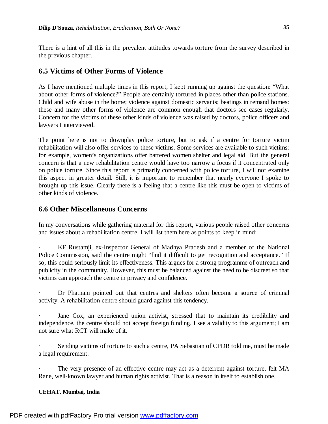There is a hint of all this in the prevalent attitudes towards torture from the survey described in the previous chapter.

# **6.5 Victims of Other Forms of Violence**

As I have mentioned multiple times in this report, I kept running up against the question: "What about other forms of violence?" People are certainly tortured in places other than police stations. Child and wife abuse in the home; violence against domestic servants; beatings in remand homes: these and many other forms of violence are common enough that doctors see cases regularly. Concern for the victims of these other kinds of violence was raised by doctors, police officers and lawyers I interviewed.

The point here is not to downplay police torture, but to ask if a centre for torture victim rehabilitation will also offer services to these victims. Some services are available to such victims: for example, women's organizations offer battered women shelter and legal aid. But the general concern is that a new rehabilitation centre would have too narrow a focus if it concentrated only on police torture. Since this report is primarily concerned with police torture, I will not examine this aspect in greater detail. Still, it is important to remember that nearly everyone I spoke to brought up this issue. Clearly there is a feeling that a centre like this must be open to victims of other kinds of violence.

# **6.6 Other Miscellaneous Concerns**

In my conversations while gathering material for this report, various people raised other concerns and issues about a rehabilitation centre. I will list them here as points to keep in mind:

· KF Rustamji, ex-Inspector General of Madhya Pradesh and a member of the National Police Commission, said the centre might "find it difficult to get recognition and acceptance." If so, this could seriously limit its effectiveness. This argues for a strong programme of outreach and publicity in the community. However, this must be balanced against the need to be discreet so that victims can approach the centre in privacy and confidence.

Dr Phatnani pointed out that centres and shelters often become a source of criminal activity. A rehabilitation centre should guard against this tendency.

Jane Cox, an experienced union activist, stressed that to maintain its credibility and independence, the centre should not accept foreign funding. I see a validity to this argument; I am not sure what RCT will make of it.

Sending victims of torture to such a centre, PA Sebastian of CPDR told me, must be made a legal requirement.

The very presence of an effective centre may act as a deterrent against torture, felt MA Rane, well-known lawyer and human rights activist. That is a reason in itself to establish one.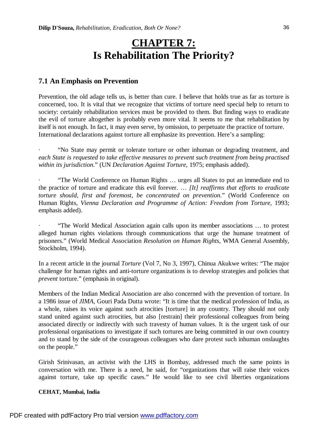# **CHAPTER 7: Is Rehabilitation The Priority?**

## **7.1 An Emphasis on Prevention**

Prevention, the old adage tells us, is better than cure. I believe that holds true as far as torture is concerned, too. It is vital that we recognize that victims of torture need special help to return to society: certainly rehabilitation services must be provided to them. But finding ways to eradicate the evil of torture altogether is probably even more vital. It seems to me that rehabilitation by itself is not enough. In fact, it may even serve, by omission, to perpetuate the practice of torture. International declarations against torture all emphasize its prevention. Here's a sampling:

· "No State may permit or tolerate torture or other inhuman or degrading treatment, and *each State is requested to take effective measures to prevent such treatment from being practised within its jurisdiction.*" (UN *Declaration Against Torture*, 1975; emphasis added).

· "The World Conference on Human Rights … urges all States to put an immediate end to the practice of torture and eradicate this evil forever. … *[It] reaffirms that efforts to eradicate torture should, first and foremost, be concentrated on prevention.*" (World Conference on Human Rights, *Vienna Declaration and Programme of Action: Freedom from Torture*, 1993; emphasis added).

· "The World Medical Association again calls upon its member associations … to protest alleged human rights violations through communications that urge the humane treatment of prisoners." (World Medical Association *Resolution on Human Rights*, WMA General Assembly, Stockholm, 1994).

In a recent article in the journal *Torture* (Vol 7, No 3, 1997), Chinua Akukwe writes: "The major challenge for human rights and anti-torture organizations is to develop strategies and policies that *prevent* torture." (emphasis in original).

Members of the Indian Medical Association are also concerned with the prevention of torture. In a 1986 issue of *JIMA*, Gouri Pada Dutta wrote: "It is time that the medical profession of India, as a whole, raises its voice against such atrocities [torture] in any country. They should not only stand united against such atrocities, but also [restrain] their professional colleagues from being associated directly or indirectly with such travesty of human values. It is the urgent task of our professional organisations to investigate if such tortures are being committed in our own country and to stand by the side of the courageous colleagues who dare protest such inhuman onslaughts on the people."

Girish Srinivasan, an activist with the LHS in Bombay, addressed much the same points in conversation with me. There is a need, he said, for "organizations that will raise their voices against torture, take up specific cases." He would like to see civil liberties organizations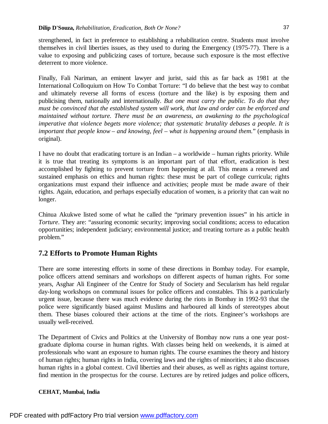strengthened, in fact in preference to establishing a rehabilitation centre. Students must involve themselves in civil liberties issues, as they used to during the Emergency (1975-77). There is a value to exposing and publicizing cases of torture, because such exposure is the most effective deterrent to more violence.

Finally, Fali Nariman, an eminent lawyer and jurist, said this as far back as 1981 at the International Colloquium on How To Combat Torture: "I do believe that the best way to combat and ultimately reverse all forms of excess (torture and the like) is by exposing them and publicising them, nationally and internationally. *But one must carry the public. To do that they must be convinced that the established system will work, that law and order can be enforced and maintained without torture. There must be an awareness, an awakening to the psychological imperative that violence begets more violence; that systematic brutality debases a people. It is important that people know – and knowing, feel – what is happening around them.*" (emphasis in original).

I have no doubt that eradicating torture is an Indian – a worldwide – human rights priority. While it is true that treating its symptoms is an important part of that effort, eradication is best accomplished by fighting to prevent torture from happening at all. This means a renewed and sustained emphasis on ethics and human rights: these must be part of college curricula; rights organizations must expand their influence and activities; people must be made aware of their rights. Again, education, and perhaps especially education of women, is a priority that can wait no longer.

Chinua Akukwe listed some of what he called the "primary prevention issues" in his article in *Torture*. They are: "assuring economic security; improving social conditions; access to education opportunities; independent judiciary; environmental justice; and treating torture as a public health problem."

# **7.2 Efforts to Promote Human Rights**

There are some interesting efforts in some of these directions in Bombay today. For example, police officers attend seminars and workshops on different aspects of human rights. For some years, Asghar Ali Engineer of the Centre for Study of Society and Secularism has held regular day-long workshops on communal issues for police officers and constables. This is a particularly urgent issue, because there was much evidence during the riots in Bombay in 1992-93 that the police were significantly biased against Muslims and harboured all kinds of stereotypes about them. These biases coloured their actions at the time of the riots. Engineer's workshops are usually well-received.

The Department of Civics and Politics at the University of Bombay now runs a one year postgraduate diploma course in human rights. With classes being held on weekends, it is aimed at professionals who want an exposure to human rights. The course examines the theory and history of human rights; human rights in India, covering laws and the rights of minorities; it also discusses human rights in a global context. Civil liberties and their abuses, as well as rights against torture, find mention in the prospectus for the course. Lectures are by retired judges and police officers,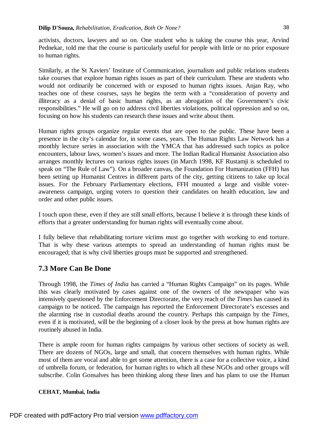activists, doctors, lawyers and so on. One student who is taking the course this year, Arvind Pednekar, told me that the course is particularly useful for people with little or no prior exposure to human rights.

Similarly, at the St Xaviers' Institute of Communication, journalism and public relations students take courses that explore human rights issues as part of their curriculum. These are students who would not ordinarily be concerned with or exposed to human rights issues. Anjan Ray, who teaches one of these courses, says he begins the term with a "consideration of poverty and illiteracy as a denial of basic human rights, as an abrogation of the Government's civic responsibilities." He will go on to address civil liberties violations, political oppression and so on, focusing on how his students can research these issues and write about them.

Human rights groups organize regular events that are open to the public. These have been a presence in the city's calendar for, in some cases, years. The Human Rights Law Network has a monthly lecture series in association with the YMCA that has addressed such topics as police encounters, labour laws, women's issues and more. The Indian Radical Humanist Association also arranges monthly lectures on various rights issues (in March 1998, KF Rustamji is scheduled to speak on "The Rule of Law"). On a broader canvas, the Foundation For Humanization (FFH) has been setting up Humanist Centres in different parts of the city, getting citizens to take up local issues. For the February Parliamentary elections, FFH mounted a large and visible voterawareness campaign, urging voters to question their candidates on health education, law and order and other public issues.

I touch upon these, even if they are still small efforts, because I believe it is through these kinds of efforts that a greater understanding for human rights will eventually come about.

I fully believe that rehabilitating torture victims must go together with working to end torture. That is why these various attempts to spread an understanding of human rights must be encouraged; that is why civil liberties groups must be supported and strengthened.

# **7.3 More Can Be Done**

Through 1998, the *Times of India* has carried a "Human Rights Campaign" on its pages. While this was clearly motivated by cases against one of the owners of the newspaper who was intensively questioned by the Enforcement Directorate, the very reach of the *Times* has caused its campaign to be noticed. The campaign has reported the Enforcement Directorate's excesses and the alarming rise in custodial deaths around the country. Perhaps this campaign by the *Times*, even if it is motivated, will be the beginning of a closer look by the press at how human rights are routinely abused in India.

There is ample room for human rights campaigns by various other sections of society as well. There are dozens of NGOs, large and small, that concern themselves with human rights. While most of them are vocal and able to get some attention, there is a case for a collective voice, a kind of umbrella forum, or federation, for human rights to which all these NGOs and other groups will subscribe. Colin Gonsalves has been thinking along these lines and has plans to use the Human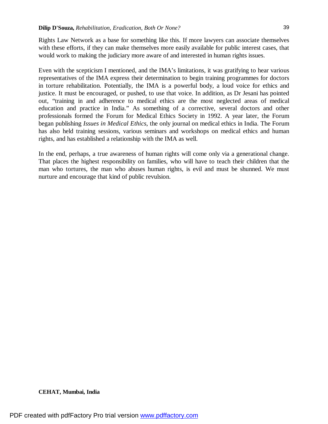Rights Law Network as a base for something like this. If more lawyers can associate themselves with these efforts, if they can make themselves more easily available for public interest cases, that would work to making the judiciary more aware of and interested in human rights issues.

Even with the scepticism I mentioned, and the IMA's limitations, it was gratifying to hear various representatives of the IMA express their determination to begin training programmes for doctors in torture rehabilitation. Potentially, the IMA is a powerful body, a loud voice for ethics and justice. It must be encouraged, or pushed, to use that voice. In addition, as Dr Jesani has pointed out, "training in and adherence to medical ethics are the most neglected areas of medical education and practice in India." As something of a corrective, several doctors and other professionals formed the Forum for Medical Ethics Society in 1992. A year later, the Forum began publishing *Issues in Medical Ethics*, the only journal on medical ethics in India. The Forum has also held training sessions, various seminars and workshops on medical ethics and human rights, and has established a relationship with the IMA as well.

In the end, perhaps, a true awareness of human rights will come only via a generational change. That places the highest responsibility on families, who will have to teach their children that the man who tortures, the man who abuses human rights, is evil and must be shunned. We must nurture and encourage that kind of public revulsion.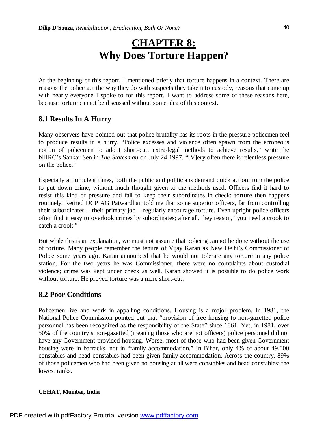# **CHAPTER 8: Why Does Torture Happen?**

At the beginning of this report, I mentioned briefly that torture happens in a context. There are reasons the police act the way they do with suspects they take into custody, reasons that came up with nearly everyone I spoke to for this report. I want to address some of these reasons here, because torture cannot be discussed without some idea of this context.

# **8.1 Results In A Hurry**

Many observers have pointed out that police brutality has its roots in the pressure policemen feel to produce results in a hurry. "Police excesses and violence often spawn from the erroneous notion of policemen to adopt short-cut, extra-legal methods to achieve results," write the NHRC's Sankar Sen in *The Statesman* on July 24 1997. "[V]ery often there is relentless pressure on the police."

Especially at turbulent times, both the public and politicians demand quick action from the police to put down crime, without much thought given to the methods used. Officers find it hard to resist this kind of pressure and fail to keep their subordinates in check; torture then happens routinely. Retired DCP AG Patwardhan told me that some superior officers, far from controlling their subordinates – their primary job – regularly encourage torture. Even upright police officers often find it easy to overlook crimes by subordinates; after all, they reason, "you need a crook to catch a crook."

But while this is an explanation, we must not assume that policing cannot be done without the use of torture. Many people remember the tenure of Vijay Karan as New Delhi's Commissioner of Police some years ago. Karan announced that he would not tolerate any torture in any police station. For the two years he was Commissioner, there were no complaints about custodial violence; crime was kept under check as well. Karan showed it is possible to do police work without torture. He proved torture was a mere short-cut.

# **8.2 Poor Conditions**

Policemen live and work in appalling conditions. Housing is a major problem. In 1981, the National Police Commission pointed out that "provision of free housing to non-gazetted police personnel has been recognized as the responsibility of the State" since 1861. Yet, in 1981, over 50% of the country's non-gazetted (meaning those who are not officers) police personnel did not have any Government-provided housing. Worse, most of those who had been given Government housing were in barracks, not in "family accommodation." In Bihar, only 4% of about 49,000 constables and head constables had been given family accommodation. Across the country, 89% of those policemen who had been given no housing at all were constables and head constables: the lowest ranks.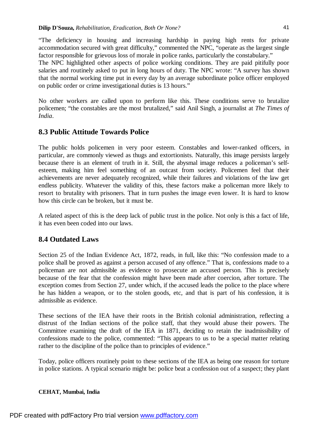"The deficiency in housing and increasing hardship in paying high rents for private accommodation secured with great difficulty," commented the NPC, "operate as the largest single factor responsible for grievous loss of morale in police ranks, particularly the constabulary."

The NPC highlighted other aspects of police working conditions. They are paid pitifully poor salaries and routinely asked to put in long hours of duty. The NPC wrote: "A survey has shown that the normal working time put in every day by an average subordinate police officer employed on public order or crime investigational duties is 13 hours."

No other workers are called upon to perform like this. These conditions serve to brutalize policemen; "the constables are the most brutalized," said Anil Singh, a journalist at *The Times of India*.

## **8.3 Public Attitude Towards Police**

The public holds policemen in very poor esteem. Constables and lower-ranked officers, in particular, are commonly viewed as thugs and extortionists. Naturally, this image persists largely because there is an element of truth in it. Still, the abysmal image reduces a policeman's selfesteem, making him feel something of an outcast from society. Policemen feel that their achievements are never adequately recognized, while their failures and violations of the law get endless publicity. Whatever the validity of this, these factors make a policeman more likely to resort to brutality with prisoners. That in turn pushes the image even lower. It is hard to know how this circle can be broken, but it must be.

A related aspect of this is the deep lack of public trust in the police. Not only is this a fact of life, it has even been coded into our laws.

## **8.4 Outdated Laws**

Section 25 of the Indian Evidence Act, 1872, reads, in full, like this: "No confession made to a police shall be proved as against a person accused of any offence." That is, confessions made to a policeman are not admissible as evidence to prosecute an accused person. This is precisely because of the fear that the confession might have been made after coercion, after torture. The exception comes from Section 27, under which, if the accused leads the police to the place where he has hidden a weapon, or to the stolen goods, etc, and that is part of his confession, it is admissible as evidence.

These sections of the IEA have their roots in the British colonial administration, reflecting a distrust of the Indian sections of the police staff, that they would abuse their powers. The Committee examining the draft of the IEA in 1871, deciding to retain the inadmissibility of confessions made to the police, commented: "This appears to us to be a special matter relating rather to the discipline of the police than to principles of evidence."

Today, police officers routinely point to these sections of the IEA as being one reason for torture in police stations. A typical scenario might be: police beat a confession out of a suspect; they plant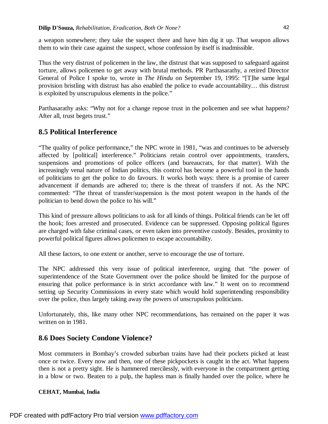a weapon somewhere; they take the suspect there and have him dig it up. That weapon allows them to win their case against the suspect, whose confession by itself is inadmissible.

Thus the very distrust of policemen in the law, the distrust that was supposed to safeguard against torture, allows policemen to get away with brutal methods. PR Parthasarathy, a retired Director General of Police I spoke to, wrote in *The Hindu* on September 19, 1995: "[T]he same legal provision bristling with distrust has also enabled the police to evade accountability… this distrust is exploited by unscrupulous elements in the police."

Parthasarathy asks: "Why not for a change repose trust in the policemen and see what happens? After all, trust begets trust."

# **8.5 Political Interference**

"The quality of police performance," the NPC wrote in 1981, "was and continues to be adversely affected by [political] interference." Politicians retain control over appointments, transfers, suspensions and promotions of police officers (and bureaucrats, for that matter). With the increasingly venal nature of Indian politics, this control has become a powerful tool in the hands of politicians to get the police to do favours. It works both ways: there is a promise of career advancement if demands are adhered to; there is the threat of transfers if not. As the NPC commented: "The threat of transfer/suspension is the most potent weapon in the hands of the politician to bend down the police to his will."

This kind of pressure allows politicians to ask for all kinds of things. Political friends can be let off the hook; foes arrested and prosecuted. Evidence can be suppressed. Opposing political figures are charged with false criminal cases, or even taken into preventive custody. Besides, proximity to powerful political figures allows policemen to escape accountability.

All these factors, to one extent or another, serve to encourage the use of torture.

The NPC addressed this very issue of political interference, urging that "the power of superintendence of the State Government over the police should be limited for the purpose of ensuring that police performance is in strict accordance with law." It went on to recommend setting up Security Commissions in every state which would hold superintending responsibility over the police, thus largely taking away the powers of unscrupulous politicians.

Unfortunately, this, like many other NPC recommendations, has remained on the paper it was written on in 1981.

# **8.6 Does Society Condone Violence?**

Most commuters in Bombay's crowded suburban trains have had their pockets picked at least once or twice. Every now and then, one of these pickpockets is caught in the act. What happens then is not a pretty sight. He is hammered mercilessly, with everyone in the compartment getting in a blow or two. Beaten to a pulp, the hapless man is finally handed over the police, where he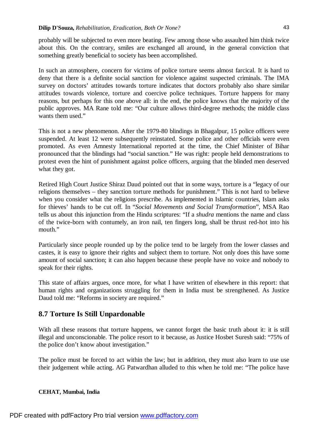probably will be subjected to even more beating. Few among those who assaulted him think twice about this. On the contrary, smiles are exchanged all around, in the general conviction that something greatly beneficial to society has been accomplished.

In such an atmosphere, concern for victims of police torture seems almost farcical. It is hard to deny that there is a definite social sanction for violence against suspected criminals. The IMA survey on doctors' attitudes towards torture indicates that doctors probably also share similar attitudes towards violence, torture and coercive police techniques. Torture happens for many reasons, but perhaps for this one above all: in the end, the police knows that the majority of the public approves. MA Rane told me: "Our culture allows third-degree methods; the middle class wants them used."

This is not a new phenomenon. After the 1979-80 blindings in Bhagalpur, 15 police officers were suspended. At least 12 were subsequently reinstated. Some police and other officials were even promoted. As even Amnesty International reported at the time, the Chief Minister of Bihar pronounced that the blindings had "social sanction." He was right: people held demonstrations to protest even the hint of punishment against police officers, arguing that the blinded men deserved what they got.

Retired High Court Justice Shiraz Daud pointed out that in some ways, torture is a "legacy of our religions themselves – they sanction torture methods for punishment." This is not hard to believe when you consider what the religions prescribe. As implemented in Islamic countries, Islam asks for thieves' hands to be cut off. In "*Social Movements and Social Transformation*", MSA Rao tells us about this injunction from the Hindu scriptures: "If a *shudra* mentions the name and class of the twice-born with contumely, an iron nail, ten fingers long, shall be thrust red-hot into his mouth."

Particularly since people rounded up by the police tend to be largely from the lower classes and castes, it is easy to ignore their rights and subject them to torture. Not only does this have some amount of social sanction; it can also happen because these people have no voice and nobody to speak for their rights.

This state of affairs argues, once more, for what I have written of elsewhere in this report: that human rights and organizations struggling for them in India must be strengthened. As Justice Daud told me: "Reforms in society are required."

## **8.7 Torture Is Still Unpardonable**

With all these reasons that torture happens, we cannot forget the basic truth about it: it is still illegal and unconscionable. The police resort to it because, as Justice Hosbet Suresh said: "75% of the police don't know about investigation."

The police must be forced to act within the law; but in addition, they must also learn to use use their judgement while acting. AG Patwardhan alluded to this when he told me: "The police have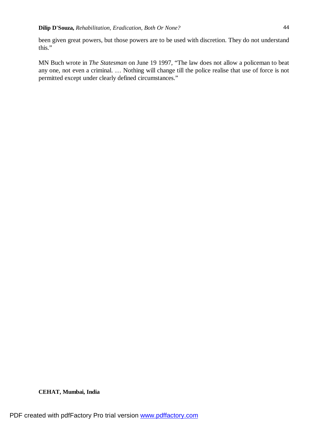been given great powers, but those powers are to be used with discretion. They do not understand this."

MN Buch wrote in *The Statesman* on June 19 1997, "The law does not allow a policeman to beat any one, not even a criminal. … Nothing will change till the police realise that use of force is not permitted except under clearly defined circumstances."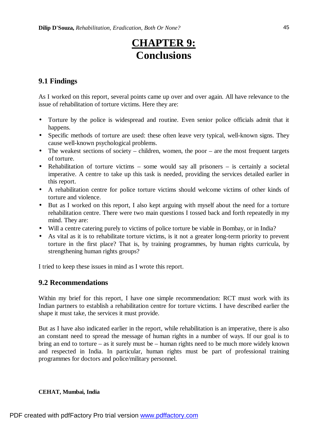# **CHAPTER 9: Conclusions**

# **9.1 Findings**

As I worked on this report, several points came up over and over again. All have relevance to the issue of rehabilitation of torture victims. Here they are:

- Torture by the police is widespread and routine. Even senior police officials admit that it happens.
- Specific methods of torture are used: these often leave very typical, well-known signs. They cause well-known psychological problems.
- The weakest sections of society children, women, the poor are the most frequent targets of torture.
- Rehabilitation of torture victims some would say all prisoners is certainly a societal imperative. A centre to take up this task is needed, providing the services detailed earlier in this report.
- A rehabilitation centre for police torture victims should welcome victims of other kinds of torture and violence.
- But as I worked on this report, I also kept arguing with myself about the need for a torture rehabilitation centre. There were two main questions I tossed back and forth repeatedly in my mind. They are:
- Will a centre catering purely to victims of police torture be viable in Bombay, or in India?
- As vital as it is to rehabilitate torture victims, is it not a greater long-term priority to prevent torture in the first place? That is, by training programmes, by human rights curricula, by strengthening human rights groups?

I tried to keep these issues in mind as I wrote this report.

## **9.2 Recommendations**

Within my brief for this report, I have one simple recommendation: RCT must work with its Indian partners to establish a rehabilitation centre for torture victims. I have described earlier the shape it must take, the services it must provide.

But as I have also indicated earlier in the report, while rehabilitation is an imperative, there is also an constant need to spread the message of human rights in a number of ways. If our goal is to bring an end to torture – as it surely must be – human rights need to be much more widely known and respected in India. In particular, human rights must be part of professional training programmes for doctors and police/military personnel.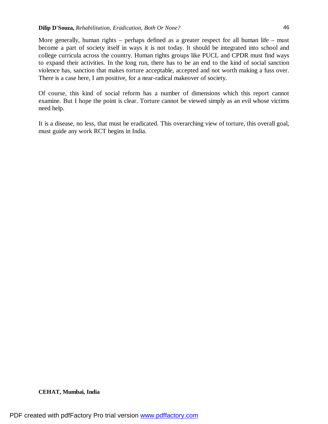More generally, human rights – perhaps defined as a greater respect for all human life – must become a part of society itself in ways it is not today. It should be integrated into school and college curricula across the country. Human rights groups like PUCL and CPDR must find ways to expand their activities. In the long run, there has to be an end to the kind of social sanction violence has, sanction that makes torture acceptable, accepted and not worth making a fuss over. There is a case here, I am positive, for a near-radical makeover of society.

Of course, this kind of social reform has a number of dimensions which this report cannot examine. But I hope the point is clear. Torture cannot be viewed simply as an evil whose victims need help.

It is a disease, no less, that must be eradicated. This overarching view of torture, this overall goal, must guide any work RCT begins in India.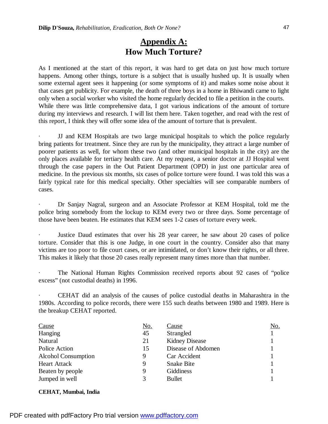# **Appendix A: How Much Torture?**

As I mentioned at the start of this report, it was hard to get data on just how much torture happens. Among other things, torture is a subject that is usually hushed up. It is usually when some external agent sees it happening (or some symptoms of it) and makes some noise about it that cases get publicity. For example, the death of three boys in a home in Bhiwandi came to light only when a social worker who visited the home regularly decided to file a petition in the courts. While there was little comprehensive data, I got various indications of the amount of torture during my interviews and research. I will list them here. Taken together, and read with the rest of this report, I think they will offer some idea of the amount of torture that is prevalent.

· JJ and KEM Hospitals are two large municipal hospitals to which the police regularly bring patients for treatment. Since they are run by the municipality, they attract a large number of poorer patients as well, for whom these two (and other municipal hospitals in the city) are the only places available for tertiary health care. At my request, a senior doctor at JJ Hospital went through the case papers in the Out Patient Department (OPD) in just one particular area of medicine. In the previous six months, six cases of police torture were found. I was told this was a fairly typical rate for this medical specialty. Other specialties will see comparable numbers of cases.

· Dr Sanjay Nagral, surgeon and an Associate Professor at KEM Hospital, told me the police bring somebody from the lockup to KEM every two or three days. Some percentage of those have been beaten. He estimates that KEM sees 1-2 cases of torture every week.

Justice Daud estimates that over his 28 year career, he saw about 20 cases of police torture. Consider that this is one Judge, in one court in the country. Consider also that many victims are too poor to file court cases, or are intimidated, or don't know their rights, or all three. This makes it likely that those 20 cases really represent many times more than that number.

The National Human Rights Commission received reports about 92 cases of "police" excess" (not custodial deaths) in 1996.

CEHAT did an analysis of the causes of police custodial deaths in Maharashtra in the 1980s. According to police records, there were 155 such deaths between 1980 and 1989. Here is the breakup CEHAT reported.

| Cause                      | <u>No.</u> | Cause                 | No. |
|----------------------------|------------|-----------------------|-----|
| Hanging                    | 45         | Strangled             |     |
| Natural                    | 21         | <b>Kidney Disease</b> |     |
| Police Action              | 15         | Disease of Abdomen    |     |
| <b>Alcohol Consumption</b> | 9          | Car Accident          |     |
| <b>Heart Attack</b>        | 9          | <b>Snake Bite</b>     |     |
| Beaten by people           | 9          | Giddiness             |     |
| Jumped in well             |            | <b>Bullet</b>         |     |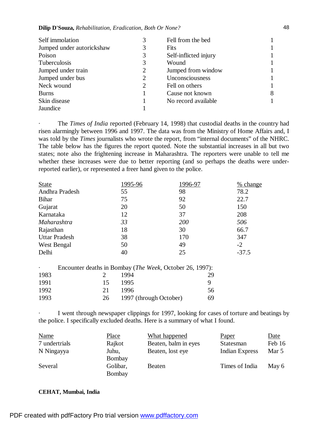#### **Dilip D'Souza,** *Rehabilitation, Eradication, Both Or None?*

| Self immolation           |   | Fell from the bed     |  |
|---------------------------|---|-----------------------|--|
| Jumped under autorickshaw |   | <b>Fits</b>           |  |
| Poison                    | 3 | Self-inflicted injury |  |
| Tuberculosis              | 3 | Wound                 |  |
| Jumped under train        | 2 | Jumped from window    |  |
| Jumped under bus          | 2 | Unconsciousness       |  |
| Neck wound                | 2 | Fell on others        |  |
| <b>Burns</b>              |   | Cause not known       |  |
| Skin disease              |   | No record available   |  |
| Jaundice                  |   |                       |  |

· The *Times of India* reported (February 14, 1998) that custodial deaths in the country had risen alarmingly between 1996 and 1997. The data was from the Ministry of Home Affairs and, I was told by the *Times* journalists who wrote the report, from "internal documents" of the NHRC. The table below has the figures the report quoted. Note the substantial increases in all but two states; note also the frightening increase in Maharashtra. The reporters were unable to tell me whether these increases were due to better reporting (and so perhaps the deaths were underreported earlier), or represented a freer hand given to the police.

| <b>State</b>         | 1995-96 | 1996-97    | % change |
|----------------------|---------|------------|----------|
| Andhra Pradesh       | 55      | 98         | 78.2     |
| <b>Bihar</b>         | 75      | 92         | 22.7     |
| Gujarat              | 20      | 50         | 150      |
| Karnataka            | 12      | 37         | 208      |
| Maharashtra          | 33      | <b>200</b> | 506      |
| Rajasthan            | 18      | 30         | 66.7     |
| <b>Uttar Pradesh</b> | 38      | 170        | 347      |
| West Bengal          | 50      | 49         | $-2$     |
| Delhi                | 40      | 25         | $-37.5$  |

| $\ddot{\phantom{1}}$ |     | Encounter deaths in Bombay ( <i>The Week</i> , October 26, 1997): |    |
|----------------------|-----|-------------------------------------------------------------------|----|
| 1983                 |     | 1994                                                              | 29 |
| 1991                 | 15. | 1995                                                              | Q  |
| 1992                 | 21  | 1996                                                              | 56 |
| 1993                 | 26  | 1997 (through October)                                            | 69 |

I went through newspaper clippings for 1997, looking for cases of torture and beatings by the police. I specifically excluded deaths. Here is a summary of what I found.

| <b>Name</b>   | <b>Place</b>       | What happened        | Paper                 | Date   |
|---------------|--------------------|----------------------|-----------------------|--------|
| 7 undertrials | Rajkot             | Beaten, balm in eyes | Statesman             | Feb 16 |
| N Ningayya    | Juhu,<br>Bombay    | Beaten, lost eye     | <b>Indian Express</b> | Mar 5  |
| Several       | Golibar,<br>Bombay | Beaten               | Times of India        | May 6  |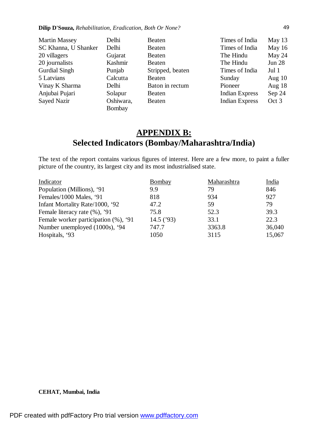| <b>Martin Massey</b> | Delhi     | <b>Beaten</b>    | Times of India        | May 13        |
|----------------------|-----------|------------------|-----------------------|---------------|
| SC Khanna, U Shanker | Delhi     | Beaten           | Times of India        | May 16        |
| 20 villagers         | Gujarat   | Beaten           | The Hindu             | May 24        |
| 20 journalists       | Kashmir   | <b>Beaten</b>    | The Hindu             | <b>Jun 28</b> |
| <b>Gurdial Singh</b> | Punjab    | Stripped, beaten | Times of India        | Jul 1         |
| 5 Latvians           | Calcutta  | Beaten           | Sunday                | Aug $10$      |
| Vinay K Sharma       | Delhi     | Baton in rectum  | Pioneer               | Aug $18$      |
| Anjubai Pujari       | Solapur   | Beaten           | <b>Indian Express</b> | Sep 24        |
| Sayed Nazir          | Oshiwara, | Beaten           | <b>Indian Express</b> | Oct 3         |
|                      | Bombay    |                  |                       |               |

# **APPENDIX B: Selected Indicators (Bombay/Maharashtra/India)**

The text of the report contains various figures of interest. Here are a few more, to paint a fuller picture of the country, its largest city and its most industrialised state.

| Indicator                            | Bombay       | Maharashtra | India  |
|--------------------------------------|--------------|-------------|--------|
| Population (Millions), '91           | 9.9          | 79          | 846    |
| Females/1000 Males, '91              | 818          | 934         | 927    |
| Infant Mortality Rate/1000, '92      | 47.2         | 59          | 79     |
| Female literacy rate (%), '91        | 75.8         | 52.3        | 39.3   |
| Female worker participation (%), '91 | 14.5 $('93)$ | 33.1        | 22.3   |
| Number unemployed (1000s), '94       | 747.7        | 3363.8      | 36,040 |
| Hospitals, '93                       | 1050         | 3115        | 15,067 |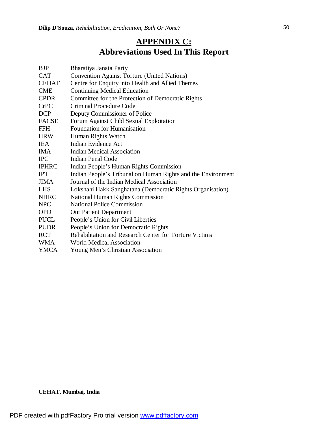# **APPENDIX C: Abbreviations Used In This Report**

| <b>BJP</b>   | Bharatiya Janata Party                                        |
|--------------|---------------------------------------------------------------|
| <b>CAT</b>   | <b>Convention Against Torture (United Nations)</b>            |
| <b>CEHAT</b> | Centre for Enquiry into Health and Allied Themes              |
| <b>CME</b>   | <b>Continuing Medical Education</b>                           |
| <b>CPDR</b>  | Committee for the Protection of Democratic Rights             |
| <b>CrPC</b>  | <b>Criminal Procedure Code</b>                                |
| <b>DCP</b>   | Deputy Commissioner of Police                                 |
| <b>FACSE</b> | Forum Against Child Sexual Exploitation                       |
| <b>FFH</b>   | Foundation for Humanisation                                   |
| <b>HRW</b>   | Human Rights Watch                                            |
| <b>IEA</b>   | Indian Evidence Act                                           |
| <b>IMA</b>   | <b>Indian Medical Association</b>                             |
| <b>IPC</b>   | <b>Indian Penal Code</b>                                      |
| <b>IPHRC</b> | Indian People's Human Rights Commission                       |
| <b>IPT</b>   | Indian People's Tribunal on Human Rights and the Environment  |
| <b>JIMA</b>  | Journal of the Indian Medical Association                     |
| <b>LHS</b>   | Lokshahi Hakk Sanghatana (Democratic Rights Organisation)     |
| <b>NHRC</b>  | <b>National Human Rights Commission</b>                       |
| <b>NPC</b>   | <b>National Police Commission</b>                             |
| <b>OPD</b>   | <b>Out Patient Department</b>                                 |
| <b>PUCL</b>  | People's Union for Civil Liberties                            |
| <b>PUDR</b>  | People's Union for Democratic Rights                          |
| <b>RCT</b>   | <b>Rehabilitation and Research Center for Torture Victims</b> |
| <b>WMA</b>   | <b>World Medical Association</b>                              |
| <b>YMCA</b>  | Young Men's Christian Association                             |